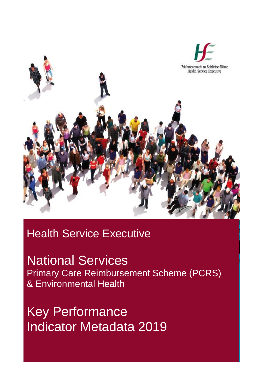

# Health Service Executive

National Services Primary Care Reimbursement Scheme (PCRS) & Environmental Health

Key Performance Indicator Metadata 2019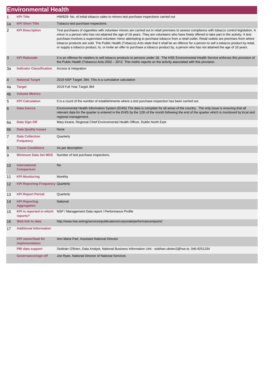|    | <b>Environmental Health</b>                 |                                                                                                                                                                                                                                                                                                                                                                                                                                                                                                                                                                                                                                                                                                                                             |
|----|---------------------------------------------|---------------------------------------------------------------------------------------------------------------------------------------------------------------------------------------------------------------------------------------------------------------------------------------------------------------------------------------------------------------------------------------------------------------------------------------------------------------------------------------------------------------------------------------------------------------------------------------------------------------------------------------------------------------------------------------------------------------------------------------------|
| 1  | <b>KPI Title</b>                            | HWB29- No. of initial tobacco sales to minors test purchase inspections carried out                                                                                                                                                                                                                                                                                                                                                                                                                                                                                                                                                                                                                                                         |
| 1a | <b>KPI Short Title</b>                      | Tobacco test purchase inspections                                                                                                                                                                                                                                                                                                                                                                                                                                                                                                                                                                                                                                                                                                           |
| 2  | <b>KPI Description</b>                      | Test purchases of cigarettes with volunteer minors are carried out in retail premises to assess compliance with tobacco control legislation. A<br>minor is a person who has not attained the age of 18 years. They are volunteers who have freely offered to take part in the activity. A test<br>purchase involves a supervised volunteer minor attempting to purchase tobacco from a retail outlet. Retail outlets are premises from where<br>tobacco products are sold. The Public Health (Tobacco) Acts state that it shall be an offence for a person to sell a tobacco product by retail,<br>or supply a tobacco product, to, or invite an offer to purchase a tobacco product by, a person who has not attained the age of 18 years. |
| 3  | <b>KPI Rationale</b>                        | It is an offense for retailers to sell tobacco products to persons under 18. The HSE Environmental Health Service enforces this provision of<br>the Public Health (Tobacco) Acts 2002 - 2012. This metric reports on the activity associated with this provision.                                                                                                                                                                                                                                                                                                                                                                                                                                                                           |
| 3a | <b>Indicator Classification</b>             | Access & Integration                                                                                                                                                                                                                                                                                                                                                                                                                                                                                                                                                                                                                                                                                                                        |
| 4  | <b>National Target</b>                      | 2019 NSP Target: 384. This is a cumulative calculation                                                                                                                                                                                                                                                                                                                                                                                                                                                                                                                                                                                                                                                                                      |
| 4a | <b>Target</b>                               | 2019 Full Year Target 384                                                                                                                                                                                                                                                                                                                                                                                                                                                                                                                                                                                                                                                                                                                   |
| 4b | <b>Volume Metrics</b>                       |                                                                                                                                                                                                                                                                                                                                                                                                                                                                                                                                                                                                                                                                                                                                             |
| 5  | <b>KPI Calculation</b>                      | It is a count of the number of establishments where a test purchase inspection has been carried out.                                                                                                                                                                                                                                                                                                                                                                                                                                                                                                                                                                                                                                        |
| 6  | <b>Data Source</b>                          | Environmental Health Information System (EHIS) The data is complete for all areas of the country. The only issue is ensuring that all<br>relevant data for the quarter is entered in the EHIS by the 12th of the month following the end of the quarter which is monitored by local and<br>regional management.                                                                                                                                                                                                                                                                                                                                                                                                                             |
| 6a | Data Sign Off                               | Mary Keane, Regional Chief Environmental Health Officer, Dublin North East                                                                                                                                                                                                                                                                                                                                                                                                                                                                                                                                                                                                                                                                  |
| 6b | <b>Data Quality Issues</b>                  | None                                                                                                                                                                                                                                                                                                                                                                                                                                                                                                                                                                                                                                                                                                                                        |
| 7  | <b>Data Collection</b><br><b>Frequency</b>  | Quarterly                                                                                                                                                                                                                                                                                                                                                                                                                                                                                                                                                                                                                                                                                                                                   |
| 8  | <b>Tracer Conditions</b>                    | As per description                                                                                                                                                                                                                                                                                                                                                                                                                                                                                                                                                                                                                                                                                                                          |
| 9  | <b>Minimum Data Set MDS</b>                 | Number of test purchase inspections.                                                                                                                                                                                                                                                                                                                                                                                                                                                                                                                                                                                                                                                                                                        |
| 10 | International<br><b>Comparison</b>          | <b>No</b>                                                                                                                                                                                                                                                                                                                                                                                                                                                                                                                                                                                                                                                                                                                                   |
| 11 | <b>KPI Monitoring</b>                       | Monthly                                                                                                                                                                                                                                                                                                                                                                                                                                                                                                                                                                                                                                                                                                                                     |
| 12 | <b>KPI Reporting Frequency Quarterly</b>    |                                                                                                                                                                                                                                                                                                                                                                                                                                                                                                                                                                                                                                                                                                                                             |
| 13 | <b>KPI Report Period</b>                    | Quarterly                                                                                                                                                                                                                                                                                                                                                                                                                                                                                                                                                                                                                                                                                                                                   |
| 14 | <b>KPI Reporting</b><br><b>Aggregation</b>  | National                                                                                                                                                                                                                                                                                                                                                                                                                                                                                                                                                                                                                                                                                                                                    |
| 15 | reports?                                    | KPI is reported in which NSP / Management Data report / Performance Profile                                                                                                                                                                                                                                                                                                                                                                                                                                                                                                                                                                                                                                                                 |
| 16 | Web link to data                            | http://www.hse.ie/eng/services/publications/corporate/performancereports/                                                                                                                                                                                                                                                                                                                                                                                                                                                                                                                                                                                                                                                                   |
| 17 | <b>Additional Information</b>               |                                                                                                                                                                                                                                                                                                                                                                                                                                                                                                                                                                                                                                                                                                                                             |
|    | <b>KPI owner/lead for</b><br>implementation | Ann Marie Part, Assistant National Director                                                                                                                                                                                                                                                                                                                                                                                                                                                                                                                                                                                                                                                                                                 |
|    | PBI data support                            | Siobhán O'Brien, Data Analyst, National Business Information Unit - siobhan.obrien2@hse.ie, 046-9251334                                                                                                                                                                                                                                                                                                                                                                                                                                                                                                                                                                                                                                     |
|    | Governance/sign off                         | Joe Ryan, National Director of National Services                                                                                                                                                                                                                                                                                                                                                                                                                                                                                                                                                                                                                                                                                            |

×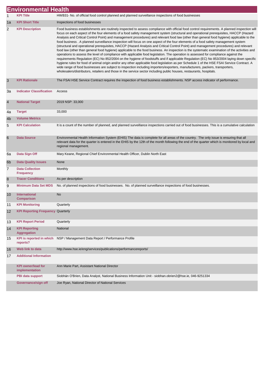|                | <b>Environmental Health</b>                                                                                                                                                                                                                                                                                                                                                                                                                                                                                                                                                                                                                                                                                                                                                                                                                                                                                                                                                                                                                                                                                                                                                                                                                                                                                                                                                                                                                                                                                                                                                          |                                                                                                                                                                                                                                                                                                                 |  |
|----------------|--------------------------------------------------------------------------------------------------------------------------------------------------------------------------------------------------------------------------------------------------------------------------------------------------------------------------------------------------------------------------------------------------------------------------------------------------------------------------------------------------------------------------------------------------------------------------------------------------------------------------------------------------------------------------------------------------------------------------------------------------------------------------------------------------------------------------------------------------------------------------------------------------------------------------------------------------------------------------------------------------------------------------------------------------------------------------------------------------------------------------------------------------------------------------------------------------------------------------------------------------------------------------------------------------------------------------------------------------------------------------------------------------------------------------------------------------------------------------------------------------------------------------------------------------------------------------------------|-----------------------------------------------------------------------------------------------------------------------------------------------------------------------------------------------------------------------------------------------------------------------------------------------------------------|--|
| 1              | <b>KPI Title</b>                                                                                                                                                                                                                                                                                                                                                                                                                                                                                                                                                                                                                                                                                                                                                                                                                                                                                                                                                                                                                                                                                                                                                                                                                                                                                                                                                                                                                                                                                                                                                                     | HWB31- No. of official food control planned and planned surveillance inspections of food businesses                                                                                                                                                                                                             |  |
| 1a             | <b>KPI Short Title</b>                                                                                                                                                                                                                                                                                                                                                                                                                                                                                                                                                                                                                                                                                                                                                                                                                                                                                                                                                                                                                                                                                                                                                                                                                                                                                                                                                                                                                                                                                                                                                               | Inspections of food businesses                                                                                                                                                                                                                                                                                  |  |
| $\overline{2}$ | Food business establishments are routinely inspected to assess compliance with official food control requirements. A planned inspection will<br><b>KPI Description</b><br>focus on each aspect of the four elements of a food safety management system (structural and operational prerequisites, HACCP (Hazard<br>Analysis and Critical Control Point) and management procedures) and relevant food law (other than general food hygiene) applicable to the<br>food business. A planned surveillance inspection will focus on one aspect of the four elements of a food safety management system<br>(structural and operational prerequisites, HACCP (Hazard Analysis and Critical Control Point) and management procedures) and relevant<br>food law (other than general food hygiene) applicable to the food business. An inspection is the systematic examination of the activities and<br>operations to assess the level of compliance with applicable food legislation. The operation is assessed for compliance against the<br>requirements Regulation (EC) No 852/2004 on the hygiene of foodstuffs and if applicable Regulation (EC) No 853/2004 laying down specific<br>hygiene rules for food of animal origin and/or any other applicable food legislation as per Schedule 1 of the HSE FSAI Service Contract. A<br>wide range of food businesses are subject to inspection including importers/exporters, manufacturers, packers, transporters,<br>wholesalers/distributors, retailers and those in the service sector including public houses, restaurants, hospitals. |                                                                                                                                                                                                                                                                                                                 |  |
| 3              | <b>KPI Rationale</b>                                                                                                                                                                                                                                                                                                                                                                                                                                                                                                                                                                                                                                                                                                                                                                                                                                                                                                                                                                                                                                                                                                                                                                                                                                                                                                                                                                                                                                                                                                                                                                 | The FSAI HSE Service Contract requires the inspection of food business establishments. NSP access indicator of performance.                                                                                                                                                                                     |  |
| За             | <b>Indicator Classification</b>                                                                                                                                                                                                                                                                                                                                                                                                                                                                                                                                                                                                                                                                                                                                                                                                                                                                                                                                                                                                                                                                                                                                                                                                                                                                                                                                                                                                                                                                                                                                                      | Access                                                                                                                                                                                                                                                                                                          |  |
| $\overline{4}$ | <b>National Target</b>                                                                                                                                                                                                                                                                                                                                                                                                                                                                                                                                                                                                                                                                                                                                                                                                                                                                                                                                                                                                                                                                                                                                                                                                                                                                                                                                                                                                                                                                                                                                                               | 2019 NSP: 33,000                                                                                                                                                                                                                                                                                                |  |
| 4a             | <b>Target</b>                                                                                                                                                                                                                                                                                                                                                                                                                                                                                                                                                                                                                                                                                                                                                                                                                                                                                                                                                                                                                                                                                                                                                                                                                                                                                                                                                                                                                                                                                                                                                                        | 33,000                                                                                                                                                                                                                                                                                                          |  |
| 4 <sub>b</sub> | <b>Volume Metrics</b>                                                                                                                                                                                                                                                                                                                                                                                                                                                                                                                                                                                                                                                                                                                                                                                                                                                                                                                                                                                                                                                                                                                                                                                                                                                                                                                                                                                                                                                                                                                                                                |                                                                                                                                                                                                                                                                                                                 |  |
| 5              | <b>KPI Calculation</b>                                                                                                                                                                                                                                                                                                                                                                                                                                                                                                                                                                                                                                                                                                                                                                                                                                                                                                                                                                                                                                                                                                                                                                                                                                                                                                                                                                                                                                                                                                                                                               | It is a count of the number of planned, and planned surveillance inspections carried out of food businesses. This is a cumulative calculation                                                                                                                                                                   |  |
| 6              | <b>Data Source</b>                                                                                                                                                                                                                                                                                                                                                                                                                                                                                                                                                                                                                                                                                                                                                                                                                                                                                                                                                                                                                                                                                                                                                                                                                                                                                                                                                                                                                                                                                                                                                                   | Environmental Health Information System (EHIS) The data is complete for all areas of the country. The only issue is ensuring that all<br>relevant data for the quarter is entered in the EHIS by the 12th of the month following the end of the quarter which is monitored by local and<br>regional management. |  |
| 6a             | Data Sign Off                                                                                                                                                                                                                                                                                                                                                                                                                                                                                                                                                                                                                                                                                                                                                                                                                                                                                                                                                                                                                                                                                                                                                                                                                                                                                                                                                                                                                                                                                                                                                                        | Mary Keane, Regional Chief Environmental Health Officer, Dublin North East                                                                                                                                                                                                                                      |  |
| 6 <sub>b</sub> | <b>Data Quality Issues</b>                                                                                                                                                                                                                                                                                                                                                                                                                                                                                                                                                                                                                                                                                                                                                                                                                                                                                                                                                                                                                                                                                                                                                                                                                                                                                                                                                                                                                                                                                                                                                           | None                                                                                                                                                                                                                                                                                                            |  |
| $\overline{7}$ | <b>Data Collection</b><br><b>Frequency</b>                                                                                                                                                                                                                                                                                                                                                                                                                                                                                                                                                                                                                                                                                                                                                                                                                                                                                                                                                                                                                                                                                                                                                                                                                                                                                                                                                                                                                                                                                                                                           | Monthly                                                                                                                                                                                                                                                                                                         |  |
| 8              | <b>Tracer Conditions</b>                                                                                                                                                                                                                                                                                                                                                                                                                                                                                                                                                                                                                                                                                                                                                                                                                                                                                                                                                                                                                                                                                                                                                                                                                                                                                                                                                                                                                                                                                                                                                             | As per description                                                                                                                                                                                                                                                                                              |  |
| 9              | <b>Minimum Data Set MDS</b>                                                                                                                                                                                                                                                                                                                                                                                                                                                                                                                                                                                                                                                                                                                                                                                                                                                                                                                                                                                                                                                                                                                                                                                                                                                                                                                                                                                                                                                                                                                                                          | No. of planned inspections of food businesses. No. of planned surveillance inspections of food businesses.                                                                                                                                                                                                      |  |
| 10             | International<br><b>Comparison</b>                                                                                                                                                                                                                                                                                                                                                                                                                                                                                                                                                                                                                                                                                                                                                                                                                                                                                                                                                                                                                                                                                                                                                                                                                                                                                                                                                                                                                                                                                                                                                   | No                                                                                                                                                                                                                                                                                                              |  |
| 11             | <b>KPI Monitoring</b>                                                                                                                                                                                                                                                                                                                                                                                                                                                                                                                                                                                                                                                                                                                                                                                                                                                                                                                                                                                                                                                                                                                                                                                                                                                                                                                                                                                                                                                                                                                                                                | Quarterly                                                                                                                                                                                                                                                                                                       |  |
| 12             | <b>KPI Reporting Frequency Quarterly</b>                                                                                                                                                                                                                                                                                                                                                                                                                                                                                                                                                                                                                                                                                                                                                                                                                                                                                                                                                                                                                                                                                                                                                                                                                                                                                                                                                                                                                                                                                                                                             |                                                                                                                                                                                                                                                                                                                 |  |
| 13             | <b>KPI Report Period</b>                                                                                                                                                                                                                                                                                                                                                                                                                                                                                                                                                                                                                                                                                                                                                                                                                                                                                                                                                                                                                                                                                                                                                                                                                                                                                                                                                                                                                                                                                                                                                             | Quarterly                                                                                                                                                                                                                                                                                                       |  |
| 14             | <b>KPI Reporting</b><br><b>Aggregation</b>                                                                                                                                                                                                                                                                                                                                                                                                                                                                                                                                                                                                                                                                                                                                                                                                                                                                                                                                                                                                                                                                                                                                                                                                                                                                                                                                                                                                                                                                                                                                           | National                                                                                                                                                                                                                                                                                                        |  |
| 15             | <b>KPI</b> is reported in which<br>reports?                                                                                                                                                                                                                                                                                                                                                                                                                                                                                                                                                                                                                                                                                                                                                                                                                                                                                                                                                                                                                                                                                                                                                                                                                                                                                                                                                                                                                                                                                                                                          | NSP / Management Data Report / Performance Profile                                                                                                                                                                                                                                                              |  |
| 16             | Web link to data                                                                                                                                                                                                                                                                                                                                                                                                                                                                                                                                                                                                                                                                                                                                                                                                                                                                                                                                                                                                                                                                                                                                                                                                                                                                                                                                                                                                                                                                                                                                                                     | http://www.hse.ie/eng/services/publications/performancereports/                                                                                                                                                                                                                                                 |  |
| 17             | <b>Additional Information</b>                                                                                                                                                                                                                                                                                                                                                                                                                                                                                                                                                                                                                                                                                                                                                                                                                                                                                                                                                                                                                                                                                                                                                                                                                                                                                                                                                                                                                                                                                                                                                        |                                                                                                                                                                                                                                                                                                                 |  |
|                | <b>KPI owner/lead for</b><br>implementation                                                                                                                                                                                                                                                                                                                                                                                                                                                                                                                                                                                                                                                                                                                                                                                                                                                                                                                                                                                                                                                                                                                                                                                                                                                                                                                                                                                                                                                                                                                                          | Ann Marie Part, Assistant National Director                                                                                                                                                                                                                                                                     |  |
|                | PBI data support                                                                                                                                                                                                                                                                                                                                                                                                                                                                                                                                                                                                                                                                                                                                                                                                                                                                                                                                                                                                                                                                                                                                                                                                                                                                                                                                                                                                                                                                                                                                                                     | Siobhán O'Brien, Data Analyst, National Business Information Unit - siobhan.obrien2@hse.ie, 046-9251334                                                                                                                                                                                                         |  |
|                | Governance/sign off                                                                                                                                                                                                                                                                                                                                                                                                                                                                                                                                                                                                                                                                                                                                                                                                                                                                                                                                                                                                                                                                                                                                                                                                                                                                                                                                                                                                                                                                                                                                                                  | Joe Ryan, National Director of National Services                                                                                                                                                                                                                                                                |  |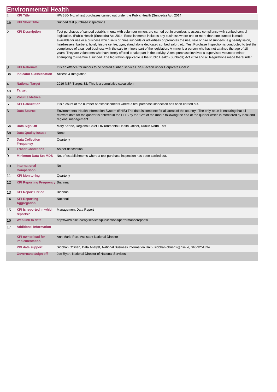|    | <b>Environmental Health</b>                 |                                                                                                                                                                                                                                                                                                                                                                                                                                                                                                                                                                                                                                                                                                                                                                                                                                                                                                                                                                                                      |  |
|----|---------------------------------------------|------------------------------------------------------------------------------------------------------------------------------------------------------------------------------------------------------------------------------------------------------------------------------------------------------------------------------------------------------------------------------------------------------------------------------------------------------------------------------------------------------------------------------------------------------------------------------------------------------------------------------------------------------------------------------------------------------------------------------------------------------------------------------------------------------------------------------------------------------------------------------------------------------------------------------------------------------------------------------------------------------|--|
| 1  | <b>KPI Title</b>                            | HWB80- No. of test purchases carried out under the Public Health (Sunbeds) Act, 2014                                                                                                                                                                                                                                                                                                                                                                                                                                                                                                                                                                                                                                                                                                                                                                                                                                                                                                                 |  |
| 1a | <b>KPI Short Title</b>                      | Sunbed test purchase inspections                                                                                                                                                                                                                                                                                                                                                                                                                                                                                                                                                                                                                                                                                                                                                                                                                                                                                                                                                                     |  |
| 2  | <b>KPI Description</b>                      | Test purchases of sunbed establishments with volunteer minors are carried out in premises to assess compliance with sunbed control<br>legislation. (Public Health (Sunbeds) Act 2014. Establishments includes any business where one or more than one sunbed is made<br>available for use or a business which sells or hires sunbeds or advertises or promotes the use, sale or hire of sunbeds; e.g beauty salon,<br>hairdressers, barbers, hotel, leisure centre, gym, stand alone dedicated sunbed salon, etc. Test Purchase Inspection is conducted to test the<br>compliance of a sunbed business with the sale to minors part of the legislation. A minor is a person who has not attained the age of 18<br>years. They are volunteers who have freely offered to take part in the activity. A test purchase involves a supervised volunteer minor<br>attempting to use/hire a sunbed. The legislation applicable is the Public Health (Sunbeds) Act 2014 and all Regulations made thereunder. |  |
| 3  | <b>KPI Rationale</b>                        | It is an offence for minors to be offered sunbed services. NSP action under Corporate Goal 2.                                                                                                                                                                                                                                                                                                                                                                                                                                                                                                                                                                                                                                                                                                                                                                                                                                                                                                        |  |
| За | <b>Indicator Classification</b>             | Access & Integration                                                                                                                                                                                                                                                                                                                                                                                                                                                                                                                                                                                                                                                                                                                                                                                                                                                                                                                                                                                 |  |
| 4  | <b>National Target</b>                      | 2019 NSP Target: 32. This is a cumulative calculation                                                                                                                                                                                                                                                                                                                                                                                                                                                                                                                                                                                                                                                                                                                                                                                                                                                                                                                                                |  |
| 4a | <b>Target</b>                               |                                                                                                                                                                                                                                                                                                                                                                                                                                                                                                                                                                                                                                                                                                                                                                                                                                                                                                                                                                                                      |  |
| 4b | <b>Volume Metrics</b>                       |                                                                                                                                                                                                                                                                                                                                                                                                                                                                                                                                                                                                                                                                                                                                                                                                                                                                                                                                                                                                      |  |
| 5  | <b>KPI Calculation</b>                      | It is a count of the number of establishments where a test purchase inspection has been carried out.                                                                                                                                                                                                                                                                                                                                                                                                                                                                                                                                                                                                                                                                                                                                                                                                                                                                                                 |  |
| 6  | <b>Data Source</b>                          | Environmental Health Information System (EHIS) The data is complete for all areas of the country. The only issue is ensuring that all<br>relevant data for the quarter is entered in the EHIS by the 12th of the month following the end of the quarter which is monitored by local and<br>regional management.                                                                                                                                                                                                                                                                                                                                                                                                                                                                                                                                                                                                                                                                                      |  |
| 6а | Data Sign Off                               | Mary Keane, Regional Chief Environmental Health Officer, Dublin North East                                                                                                                                                                                                                                                                                                                                                                                                                                                                                                                                                                                                                                                                                                                                                                                                                                                                                                                           |  |
| 6b | <b>Data Quality Issues</b>                  | None                                                                                                                                                                                                                                                                                                                                                                                                                                                                                                                                                                                                                                                                                                                                                                                                                                                                                                                                                                                                 |  |
| 7  | <b>Data Collection</b><br><b>Frequency</b>  | Quarterly                                                                                                                                                                                                                                                                                                                                                                                                                                                                                                                                                                                                                                                                                                                                                                                                                                                                                                                                                                                            |  |
| 8  | <b>Tracer Conditions</b>                    | As per description                                                                                                                                                                                                                                                                                                                                                                                                                                                                                                                                                                                                                                                                                                                                                                                                                                                                                                                                                                                   |  |
| 9  | <b>Minimum Data Set MDS</b>                 | No. of establishments where a test purchase inspection has been carried out.                                                                                                                                                                                                                                                                                                                                                                                                                                                                                                                                                                                                                                                                                                                                                                                                                                                                                                                         |  |
| 10 | <b>International</b><br><b>Comparison</b>   | <b>No</b>                                                                                                                                                                                                                                                                                                                                                                                                                                                                                                                                                                                                                                                                                                                                                                                                                                                                                                                                                                                            |  |
| 11 | <b>KPI Monitoring</b>                       | Quarterly                                                                                                                                                                                                                                                                                                                                                                                                                                                                                                                                                                                                                                                                                                                                                                                                                                                                                                                                                                                            |  |
| 12 | <b>KPI Reporting Frequency Biannual</b>     |                                                                                                                                                                                                                                                                                                                                                                                                                                                                                                                                                                                                                                                                                                                                                                                                                                                                                                                                                                                                      |  |
| 13 | <b>KPI Report Period</b>                    | <b>Biannual</b>                                                                                                                                                                                                                                                                                                                                                                                                                                                                                                                                                                                                                                                                                                                                                                                                                                                                                                                                                                                      |  |
| 14 | <b>KPI Reporting</b><br><b>Aggregation</b>  | National                                                                                                                                                                                                                                                                                                                                                                                                                                                                                                                                                                                                                                                                                                                                                                                                                                                                                                                                                                                             |  |
| 15 | <b>KPI</b> is reported in which<br>reports? | Management Data Report                                                                                                                                                                                                                                                                                                                                                                                                                                                                                                                                                                                                                                                                                                                                                                                                                                                                                                                                                                               |  |
| 16 | Web link to data                            | http://www.hse.ie/eng/services/publications/performancereports/                                                                                                                                                                                                                                                                                                                                                                                                                                                                                                                                                                                                                                                                                                                                                                                                                                                                                                                                      |  |
| 17 | <b>Additional Information</b>               |                                                                                                                                                                                                                                                                                                                                                                                                                                                                                                                                                                                                                                                                                                                                                                                                                                                                                                                                                                                                      |  |
|    | <b>KPI owner/lead for</b><br>implementation | Ann Marie Part, Assistant National Director                                                                                                                                                                                                                                                                                                                                                                                                                                                                                                                                                                                                                                                                                                                                                                                                                                                                                                                                                          |  |
|    | PBI data support                            | Siobhán O'Brien, Data Analyst, National Business Information Unit - siobhan.obrien2@hse.ie, 046-9251334                                                                                                                                                                                                                                                                                                                                                                                                                                                                                                                                                                                                                                                                                                                                                                                                                                                                                              |  |
|    | Governance/sign off                         | Joe Ryan, National Director of National Services                                                                                                                                                                                                                                                                                                                                                                                                                                                                                                                                                                                                                                                                                                                                                                                                                                                                                                                                                     |  |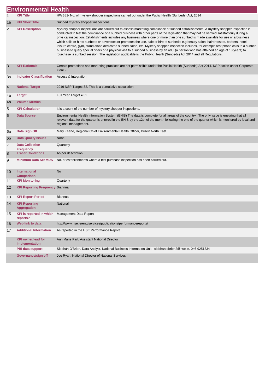|                | <b>Environmental Health</b>                                 |                                                                                                                                                                                                                                                                                                                                                                                                                                                                                                                                                                                                                                                                                                                                                                                                                                                                                                                                                                                        |  |
|----------------|-------------------------------------------------------------|----------------------------------------------------------------------------------------------------------------------------------------------------------------------------------------------------------------------------------------------------------------------------------------------------------------------------------------------------------------------------------------------------------------------------------------------------------------------------------------------------------------------------------------------------------------------------------------------------------------------------------------------------------------------------------------------------------------------------------------------------------------------------------------------------------------------------------------------------------------------------------------------------------------------------------------------------------------------------------------|--|
| 1              | <b>KPI Title</b>                                            | HWB81- No. of mystery shopper inspections carried out under the Public Health (Sunbeds) Act, 2014                                                                                                                                                                                                                                                                                                                                                                                                                                                                                                                                                                                                                                                                                                                                                                                                                                                                                      |  |
| 1a             | <b>KPI Short Title</b>                                      | Sunbed mystery shopper inspections                                                                                                                                                                                                                                                                                                                                                                                                                                                                                                                                                                                                                                                                                                                                                                                                                                                                                                                                                     |  |
| 2              | <b>KPI Description</b>                                      | Mystery shopper inspections are carried out to assess marketing compliance of sunbed establishments. A mystery shopper inspection is<br>conducted to test the compliance of a sunbed business with other parts of the legislation that may not be verified satisfactorily during a<br>physical inspection. Establishments includes any business where one or more than one sunbed is made available for use or a business<br>which sells or hires sunbeds or advertises or promotes the use, sale or hire of sunbeds; e.g beauty salon, hairdressers, barbers, hotel,<br>leisure centre, gym, stand alone dedicated sunbed salon, etc. Mystery shopper inspection includes, for example test phone calls to a sunbed<br>business to query special offers or a physical visit to a sunbed business by an adul (a person who has attained an age of 18 years) to<br>'purchase' a sunbed session. The legislation applicable is the Public Health (Sunbeds) Act 2014 and all Regulations. |  |
| 3              | <b>KPI Rationale</b>                                        | Certain promotions and marketing practices are not permissible under the Public Health (Sunbeds) Act 2014. NSP action under Corporate<br>Goal 2.                                                                                                                                                                                                                                                                                                                                                                                                                                                                                                                                                                                                                                                                                                                                                                                                                                       |  |
| За             | <b>Indicator Classification</b>                             | Access & Integration                                                                                                                                                                                                                                                                                                                                                                                                                                                                                                                                                                                                                                                                                                                                                                                                                                                                                                                                                                   |  |
| 4              | <b>National Target</b>                                      | 2019 NSP Target: 32. This is a cumulative calculation                                                                                                                                                                                                                                                                                                                                                                                                                                                                                                                                                                                                                                                                                                                                                                                                                                                                                                                                  |  |
| 4a             | <b>Target</b>                                               | Full Year Target = 32                                                                                                                                                                                                                                                                                                                                                                                                                                                                                                                                                                                                                                                                                                                                                                                                                                                                                                                                                                  |  |
| 4b             | <b>Volume Metrics</b>                                       |                                                                                                                                                                                                                                                                                                                                                                                                                                                                                                                                                                                                                                                                                                                                                                                                                                                                                                                                                                                        |  |
| 5              | <b>KPI Calculation</b>                                      | It is a count of the number of mystery shopper inspections.                                                                                                                                                                                                                                                                                                                                                                                                                                                                                                                                                                                                                                                                                                                                                                                                                                                                                                                            |  |
| 6              | <b>Data Source</b>                                          | Environmental Health Information System (EHIS) The data is complete for all areas of the country. The only issue is ensuring that all<br>relevant data for the quarter is entered in the EHIS by the 12th of the month following the end of the quarter which is monitored by local and<br>regional management.                                                                                                                                                                                                                                                                                                                                                                                                                                                                                                                                                                                                                                                                        |  |
| 6a             | Data Sign Off                                               | Mary Keane, Regional Chief Environmental Health Officer, Dublin North East                                                                                                                                                                                                                                                                                                                                                                                                                                                                                                                                                                                                                                                                                                                                                                                                                                                                                                             |  |
| 6 <sub>b</sub> | <b>Data Quality Issues</b>                                  | None                                                                                                                                                                                                                                                                                                                                                                                                                                                                                                                                                                                                                                                                                                                                                                                                                                                                                                                                                                                   |  |
| 7              | <b>Data Collection</b><br><b>Frequency</b>                  | Quarterly                                                                                                                                                                                                                                                                                                                                                                                                                                                                                                                                                                                                                                                                                                                                                                                                                                                                                                                                                                              |  |
| 8              | <b>Tracer Conditions</b>                                    | As per description                                                                                                                                                                                                                                                                                                                                                                                                                                                                                                                                                                                                                                                                                                                                                                                                                                                                                                                                                                     |  |
| 9              | <b>Minimum Data Set MDS</b>                                 | No. of establishments where a test purchase inspection has been carried out.                                                                                                                                                                                                                                                                                                                                                                                                                                                                                                                                                                                                                                                                                                                                                                                                                                                                                                           |  |
| 10             | <b>International</b><br><b>Comparison</b>                   | No                                                                                                                                                                                                                                                                                                                                                                                                                                                                                                                                                                                                                                                                                                                                                                                                                                                                                                                                                                                     |  |
| 11             | <b>KPI Monitoring</b>                                       | Quarterly                                                                                                                                                                                                                                                                                                                                                                                                                                                                                                                                                                                                                                                                                                                                                                                                                                                                                                                                                                              |  |
| 12             | <b>KPI Reporting Frequency Biannual</b>                     |                                                                                                                                                                                                                                                                                                                                                                                                                                                                                                                                                                                                                                                                                                                                                                                                                                                                                                                                                                                        |  |
| 13             | <b>KPI Report Period</b>                                    | <b>Biannual</b>                                                                                                                                                                                                                                                                                                                                                                                                                                                                                                                                                                                                                                                                                                                                                                                                                                                                                                                                                                        |  |
| 14             | <b>KPI Reporting</b><br><b>Aggregation</b>                  | National                                                                                                                                                                                                                                                                                                                                                                                                                                                                                                                                                                                                                                                                                                                                                                                                                                                                                                                                                                               |  |
| 15             | KPI is reported in which Management Data Report<br>reports? |                                                                                                                                                                                                                                                                                                                                                                                                                                                                                                                                                                                                                                                                                                                                                                                                                                                                                                                                                                                        |  |
| 16             | Web link to data                                            | http://www.hse.ie/eng/services/publications/performancereports/                                                                                                                                                                                                                                                                                                                                                                                                                                                                                                                                                                                                                                                                                                                                                                                                                                                                                                                        |  |
| 17             | <b>Additional Information</b>                               | As reported in the HSE Performance Report                                                                                                                                                                                                                                                                                                                                                                                                                                                                                                                                                                                                                                                                                                                                                                                                                                                                                                                                              |  |
|                | <b>KPI owner/lead for</b><br>implementation                 | Ann Marie Part, Assistant National Director                                                                                                                                                                                                                                                                                                                                                                                                                                                                                                                                                                                                                                                                                                                                                                                                                                                                                                                                            |  |
|                | PBI data support                                            | Siobhán O'Brien, Data Analyst, National Business Information Unit - siobhan.obrien2@hse.ie, 046-9251334                                                                                                                                                                                                                                                                                                                                                                                                                                                                                                                                                                                                                                                                                                                                                                                                                                                                                |  |
|                | Governance/sign off                                         | Joe Ryan, National Director of National Services                                                                                                                                                                                                                                                                                                                                                                                                                                                                                                                                                                                                                                                                                                                                                                                                                                                                                                                                       |  |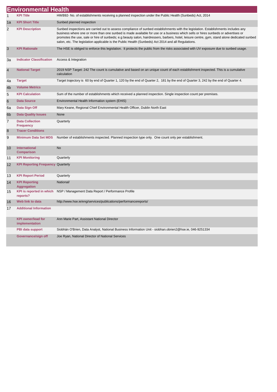|                | <b>Environmental Health</b>                 |                                                                                                                                                                                                                                                                                                                                                                                                                                                                                                                               |
|----------------|---------------------------------------------|-------------------------------------------------------------------------------------------------------------------------------------------------------------------------------------------------------------------------------------------------------------------------------------------------------------------------------------------------------------------------------------------------------------------------------------------------------------------------------------------------------------------------------|
| 1              | <b>KPI Title</b>                            | HWB92- No. of establishments receiving a planned inspection under the Public Health (Sunbeds) Act, 2014                                                                                                                                                                                                                                                                                                                                                                                                                       |
| 1a             | <b>KPI Short Title</b>                      | Sunbed planned inspection                                                                                                                                                                                                                                                                                                                                                                                                                                                                                                     |
| $\overline{2}$ | <b>KPI Description</b>                      | Sunbed inspections are carried out to assess compliance of sunbed establishments with the legislation. Establishments includes any<br>business where one or more than one sunbed is made available for use or a business which sells or hires sunbeds or advertises or<br>promotes the use, sale or hire of sunbeds; e.g beauty salon, hairdressers, barbers, hotel, leisure centre, gym, stand alone dedicated sunbed<br>salon, etc. The legislation applicable is the Public Health (Sunbeds) Act 2014 and all Regulations. |
| 3              | <b>KPI Rationale</b>                        | The HSE is obliged to enforce this legislation. It protects the public from the risks associated with UV exposure due to sunbed usage.                                                                                                                                                                                                                                                                                                                                                                                        |
| 3a             | <b>Indicator Classification</b>             | Access & Integration                                                                                                                                                                                                                                                                                                                                                                                                                                                                                                          |
| 4              | <b>National Target</b>                      | 2019 NSP Target: 242 The count is cumulative and based on an unique count of each establishment inspected. This is a cumulative<br>calculation                                                                                                                                                                                                                                                                                                                                                                                |
| 4a             | <b>Target</b>                               | Target trajectory is 60 by end of Quarter 1, 120 by the end of Quarter 2, 181 by the end of Quarter 3, 242 by the end of Quarter 4.                                                                                                                                                                                                                                                                                                                                                                                           |
| 4b             | <b>Volume Metrics</b>                       |                                                                                                                                                                                                                                                                                                                                                                                                                                                                                                                               |
| 5              | <b>KPI Calculation</b>                      | Sum of the number of establishments which received a planned inspection. Single inspection count per premises.                                                                                                                                                                                                                                                                                                                                                                                                                |
| 6              | <b>Data Source</b>                          | Environmental Health Information system (EHIS)                                                                                                                                                                                                                                                                                                                                                                                                                                                                                |
| 6a             | Data Sign Off                               | Mary Keane, Regional Chief Environmental Health Officer, Dublin North East                                                                                                                                                                                                                                                                                                                                                                                                                                                    |
| 6b             | <b>Data Quality Issues</b>                  | None                                                                                                                                                                                                                                                                                                                                                                                                                                                                                                                          |
| $\overline{7}$ | <b>Data Collection</b><br><b>Frequency</b>  | Quarterly                                                                                                                                                                                                                                                                                                                                                                                                                                                                                                                     |
| 8              | <b>Tracer Conditions</b>                    |                                                                                                                                                                                                                                                                                                                                                                                                                                                                                                                               |
| 9              | <b>Minimum Data Set MDS</b>                 | Number of establishments inspected. Planned inspection type only. One count only per establishment.                                                                                                                                                                                                                                                                                                                                                                                                                           |
| 10             | International<br><b>Comparison</b>          | <b>No</b>                                                                                                                                                                                                                                                                                                                                                                                                                                                                                                                     |
| 11             | <b>KPI Monitoring</b>                       | Quarterly                                                                                                                                                                                                                                                                                                                                                                                                                                                                                                                     |
| 12             | <b>KPI Reporting Frequency Quarterly</b>    |                                                                                                                                                                                                                                                                                                                                                                                                                                                                                                                               |
| 13             | <b>KPI Report Period</b>                    | Quarterly                                                                                                                                                                                                                                                                                                                                                                                                                                                                                                                     |
| 14             | <b>KPI Reporting</b><br><b>Aggregation</b>  | National/                                                                                                                                                                                                                                                                                                                                                                                                                                                                                                                     |
| 15             | <b>KPI</b> is reported in which<br>reports? | NSP / Management Data Report / Performance Profile                                                                                                                                                                                                                                                                                                                                                                                                                                                                            |
| 16             | Web link to data                            | http://www.hse.ie/eng/services/publications/performancereports/                                                                                                                                                                                                                                                                                                                                                                                                                                                               |
| 17             | <b>Additional Information</b>               |                                                                                                                                                                                                                                                                                                                                                                                                                                                                                                                               |
|                | <b>KPI owner/lead for</b><br>implementation | Ann Marie Part, Assistant National Director                                                                                                                                                                                                                                                                                                                                                                                                                                                                                   |
|                | PBI data support                            | Siobhán O'Brien, Data Analyst, National Business Information Unit - siobhan.obrien2@hse.ie, 046-9251334                                                                                                                                                                                                                                                                                                                                                                                                                       |
|                | Governance/sign off                         | Joe Ryan, National Director of National Services                                                                                                                                                                                                                                                                                                                                                                                                                                                                              |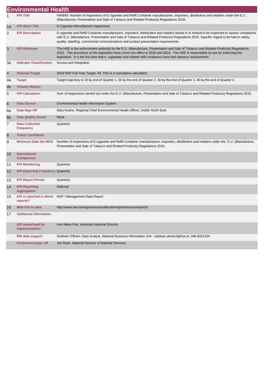|    | <b>Environmental Health</b>                 |                                                                                                                                                                                                                                                                                                                                                                                                 |
|----|---------------------------------------------|-------------------------------------------------------------------------------------------------------------------------------------------------------------------------------------------------------------------------------------------------------------------------------------------------------------------------------------------------------------------------------------------------|
| 1  | KPI Title                                   | HWB93- Number of inspections of E-cigarette and Refill Container manufacturers, importers, distributors and retailers under the E.U.<br>(Manufacture, Presentation and Sale of Tobacco and Related Products) Regulations 2016.                                                                                                                                                                  |
| 1a | <b>KPI Short Title</b>                      | E-Cigarette Manufacturer inspections                                                                                                                                                                                                                                                                                                                                                            |
| 2  | <b>KPI Description</b>                      | E-cigarette and Refill Container manufacturers, importers, distributers and retailers based in in Ireland to be inspected to assess compliance<br>with E.U. (Manufacture, Presentation and Sale of Tobacco and Related Products) Regulations 2016. Specific regard to be had to safety,<br>quality, labelling, commercial communications and product presentation requirements.                 |
| 3  | <b>KPI Rationale</b>                        | The HSE is the enforcement authority for the E.U. (Manufacture, Presentation and Sale of Tobacco and Related Products) Regulations<br>2016. This provisions of this legislation have come into effect in 2016 and 2018. The HSE is responsibile by law for enforcing this<br>legislation. It is the first time that e-cigarettes and related refill containers have had statutory requirements. |
| За | <b>Indicator Classification</b>             | Access and Integration                                                                                                                                                                                                                                                                                                                                                                          |
| 4  | <b>National Target</b>                      | 2019 NSP Full Year Target: 40. This is a cumulative calculation                                                                                                                                                                                                                                                                                                                                 |
| 4a | <b>Target</b>                               | Target trajectory is 10 by end of Quarter 1, 20 by the end of Quarter 2, 30 by the end of Quarter 3, 40 by the end of Quarter 4.                                                                                                                                                                                                                                                                |
| 4b | <b>Volume Metrics</b>                       |                                                                                                                                                                                                                                                                                                                                                                                                 |
| 5  | <b>KPI Calculation</b>                      | Sum of inspections carried out under the E.U. (Manufacture, Presentation and Sale of Tobacco and Related Products) Regulations 2016.                                                                                                                                                                                                                                                            |
| 6  | <b>Data Source</b>                          | Environmental Health Information System                                                                                                                                                                                                                                                                                                                                                         |
| 6a | Data Sign Off                               | Mary Keane, Regional Chief Environmental Health Officer, Dublin North East                                                                                                                                                                                                                                                                                                                      |
| 6b | <b>Data Quality Issues</b>                  | None                                                                                                                                                                                                                                                                                                                                                                                            |
| 7  | <b>Data Collection</b><br><b>Frequency</b>  | Quarterly                                                                                                                                                                                                                                                                                                                                                                                       |
| 8  | <b>Tracer Conditions</b>                    |                                                                                                                                                                                                                                                                                                                                                                                                 |
| 9  | <b>Minimum Data Set MDS</b>                 | Number of inspections of E-cigarette and Refill Container manufacturers, importers, distributers and retailers under the E.U. (Manufacture,<br>Presentation and Sale of Tobacco and Related Products) Regulations 2016.                                                                                                                                                                         |
| 10 | International<br><b>Comparison</b>          |                                                                                                                                                                                                                                                                                                                                                                                                 |
| 11 | <b>KPI Monitoring</b>                       | Quarterly                                                                                                                                                                                                                                                                                                                                                                                       |
| 12 | <b>KPI Reporting Frequency Quarterly</b>    |                                                                                                                                                                                                                                                                                                                                                                                                 |
| 13 | <b>KPI Report Period</b>                    | Quarterly                                                                                                                                                                                                                                                                                                                                                                                       |
| 14 | <b>KPI Reporting</b><br><b>Aggregation</b>  | National                                                                                                                                                                                                                                                                                                                                                                                        |
| 15 | KPI is reported in which<br>reports?        | NSP / Management Data Report                                                                                                                                                                                                                                                                                                                                                                    |
| 16 | Web link to data                            | http://www.hse.ie/eng/services/publications/performancereports/                                                                                                                                                                                                                                                                                                                                 |
| 17 | <b>Additional Information</b>               |                                                                                                                                                                                                                                                                                                                                                                                                 |
|    | <b>KPI owner/lead for</b><br>implementation | Ann Marie Part, Assistant National Director                                                                                                                                                                                                                                                                                                                                                     |
|    | PBI data support                            | Siobhán O'Brien, Data Analyst, National Business Information Unit - siobhan.obrien2@hse.ie, 046-9251334                                                                                                                                                                                                                                                                                         |
|    | Governance/sign off                         | Joe Ryan, National Director of National Services                                                                                                                                                                                                                                                                                                                                                |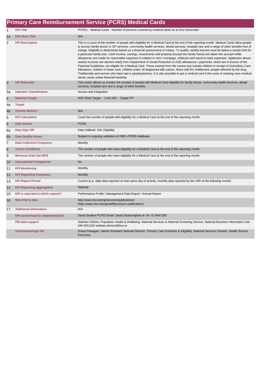### **Primary Care Reimbursement Service (PCRS) Medical Cards**

| $\mathbf{1}$    | <b>KPI Title</b>                         | PCRS1 - Medical Cards - Number of persons covered by medical cards as at 31st December                                                                                                                                                                                                                                                                                                                                                                                                                                                                                                                                                                                                                                                                                                                                                                                                                                                                                                                                                                                                                                                                                                                                                                                                                       |
|-----------------|------------------------------------------|--------------------------------------------------------------------------------------------------------------------------------------------------------------------------------------------------------------------------------------------------------------------------------------------------------------------------------------------------------------------------------------------------------------------------------------------------------------------------------------------------------------------------------------------------------------------------------------------------------------------------------------------------------------------------------------------------------------------------------------------------------------------------------------------------------------------------------------------------------------------------------------------------------------------------------------------------------------------------------------------------------------------------------------------------------------------------------------------------------------------------------------------------------------------------------------------------------------------------------------------------------------------------------------------------------------|
| 1a              | <b>KPI Short Title</b>                   | N/A                                                                                                                                                                                                                                                                                                                                                                                                                                                                                                                                                                                                                                                                                                                                                                                                                                                                                                                                                                                                                                                                                                                                                                                                                                                                                                          |
| 2               | <b>KPI Description</b>                   | This is a count of the number of people with eligibility for a Medical Card at the end of the reporting month. Medical Cards allow people<br>to access family doctor or GP services, community health services, dental services, hospital care and a range of other benefits free of<br>charge. Eligibility is determined based on a financial assessment of means. To qualify, weekly income must be below a certain limit for<br>a particular family size. Cash income, savings, investments and property (except the family home) are taken into account while<br>allowances are made for reasonable expenses in relation to rent / mortgage, childcare and travel to work expenses. Applicants whose<br>weekly incomes are derived solely from Department of Social Protection or HSE allowances / payments, which are in excess of the<br>Financial Guidelines, are eligible for a Medical Card. Those exempt from the means test include children in receipt of Domiciliary Care<br>Allowance, children in foster care, children under 18 diagnosed with cancer, those with EU entitlement, people affected by the drug<br>Thalidomide and women who have had a symphysiotomy. It is also possible to get a medical card if the costs of meeting ones medical<br>needs cause undue financial hardship. |
| 3               | <b>KPI Rationale</b>                     | This metric allows us monitor the number of people with Medical Card eligibility for family doctor, community health services, dental<br>services, hospital care and a range of other benefits.                                                                                                                                                                                                                                                                                                                                                                                                                                                                                                                                                                                                                                                                                                                                                                                                                                                                                                                                                                                                                                                                                                              |
| 3a              | <b>Indicator Classification</b>          | Access and Integration                                                                                                                                                                                                                                                                                                                                                                                                                                                                                                                                                                                                                                                                                                                                                                                                                                                                                                                                                                                                                                                                                                                                                                                                                                                                                       |
| $\overline{4}$  | <b>National Target</b>                   | NSP 2019 Target - 1,541,667 - Target PIT                                                                                                                                                                                                                                                                                                                                                                                                                                                                                                                                                                                                                                                                                                                                                                                                                                                                                                                                                                                                                                                                                                                                                                                                                                                                     |
| 4a              | <b>Target</b>                            |                                                                                                                                                                                                                                                                                                                                                                                                                                                                                                                                                                                                                                                                                                                                                                                                                                                                                                                                                                                                                                                                                                                                                                                                                                                                                                              |
| 4 <sub>b</sub>  | <b>Volume Metrics</b>                    | N/A                                                                                                                                                                                                                                                                                                                                                                                                                                                                                                                                                                                                                                                                                                                                                                                                                                                                                                                                                                                                                                                                                                                                                                                                                                                                                                          |
| 5               | <b>KPI Calculation</b>                   | Count the number of people with eligibility for a Medical Card at the end of the reporting month.                                                                                                                                                                                                                                                                                                                                                                                                                                                                                                                                                                                                                                                                                                                                                                                                                                                                                                                                                                                                                                                                                                                                                                                                            |
| $6\phantom{1}6$ | <b>Data Source</b>                       | <b>PCRS</b>                                                                                                                                                                                                                                                                                                                                                                                                                                                                                                                                                                                                                                                                                                                                                                                                                                                                                                                                                                                                                                                                                                                                                                                                                                                                                                  |
| 6a              | Data Sign Off                            | Kate Halliwell, GM, Eligibility                                                                                                                                                                                                                                                                                                                                                                                                                                                                                                                                                                                                                                                                                                                                                                                                                                                                                                                                                                                                                                                                                                                                                                                                                                                                              |
| 6 <sub>b</sub>  | <b>Data Quality Issues</b>               | Subject to ongoing validation of HSE's PCRS database.                                                                                                                                                                                                                                                                                                                                                                                                                                                                                                                                                                                                                                                                                                                                                                                                                                                                                                                                                                                                                                                                                                                                                                                                                                                        |
| $\overline{7}$  | <b>Data Collection Frequency</b>         | Monthly                                                                                                                                                                                                                                                                                                                                                                                                                                                                                                                                                                                                                                                                                                                                                                                                                                                                                                                                                                                                                                                                                                                                                                                                                                                                                                      |
| 8               | <b>Tracer Conditions</b>                 | The number of people who have eligibility for a Medical Card at the end of the reporting month.                                                                                                                                                                                                                                                                                                                                                                                                                                                                                                                                                                                                                                                                                                                                                                                                                                                                                                                                                                                                                                                                                                                                                                                                              |
| 9               | <b>Minimum Data Set MDS</b>              | The number of people who have eligibility for a Medical Card at the end of the reporting month.                                                                                                                                                                                                                                                                                                                                                                                                                                                                                                                                                                                                                                                                                                                                                                                                                                                                                                                                                                                                                                                                                                                                                                                                              |
| 10              | <b>International Comparison</b>          | <b>No</b>                                                                                                                                                                                                                                                                                                                                                                                                                                                                                                                                                                                                                                                                                                                                                                                                                                                                                                                                                                                                                                                                                                                                                                                                                                                                                                    |
| 11              | <b>KPI Monitoring</b>                    | Monthly                                                                                                                                                                                                                                                                                                                                                                                                                                                                                                                                                                                                                                                                                                                                                                                                                                                                                                                                                                                                                                                                                                                                                                                                                                                                                                      |
| 12              | <b>KPI Reporting Frequency</b>           | Monthly                                                                                                                                                                                                                                                                                                                                                                                                                                                                                                                                                                                                                                                                                                                                                                                                                                                                                                                                                                                                                                                                                                                                                                                                                                                                                                      |
| 13              | <b>KPI Report Period</b>                 | Current (e.g. daily data reported on that same day of activity, monthly data reported by the 10th of the following month)                                                                                                                                                                                                                                                                                                                                                                                                                                                                                                                                                                                                                                                                                                                                                                                                                                                                                                                                                                                                                                                                                                                                                                                    |
| 14              | <b>KPI Reporting Aggregation</b>         | National                                                                                                                                                                                                                                                                                                                                                                                                                                                                                                                                                                                                                                                                                                                                                                                                                                                                                                                                                                                                                                                                                                                                                                                                                                                                                                     |
| 15              | KPI is reported in which reports?        | Performance Profile / Management Data Report / Annual Report                                                                                                                                                                                                                                                                                                                                                                                                                                                                                                                                                                                                                                                                                                                                                                                                                                                                                                                                                                                                                                                                                                                                                                                                                                                 |
| 16              | Web link to data                         | http://www.hse.ie/eng/services/publications/<br>https://www.hse.ie/eng/staff/pcrs/pcrs-publications/                                                                                                                                                                                                                                                                                                                                                                                                                                                                                                                                                                                                                                                                                                                                                                                                                                                                                                                                                                                                                                                                                                                                                                                                         |
| 17              | <b>Additional Information</b>            | N/A                                                                                                                                                                                                                                                                                                                                                                                                                                                                                                                                                                                                                                                                                                                                                                                                                                                                                                                                                                                                                                                                                                                                                                                                                                                                                                          |
|                 | <b>KPI owner/lead for implementation</b> | David Stratton PCRS Email: David.Stratton@hse.ie Tel: 01 8647100                                                                                                                                                                                                                                                                                                                                                                                                                                                                                                                                                                                                                                                                                                                                                                                                                                                                                                                                                                                                                                                                                                                                                                                                                                             |
|                 | PBI data support                         | Siobhan O'Brien, Population Health & Wellbeing; National Services & National Screening Service, National Business Information Unit -<br>046 9251334 siobhan.obrien2@hse.ie                                                                                                                                                                                                                                                                                                                                                                                                                                                                                                                                                                                                                                                                                                                                                                                                                                                                                                                                                                                                                                                                                                                                   |
|                 | Governance/sign off                      | Shaun Flanagan, Interim Assistant National Director, Primary Care Schemes & Eligibility, National Services Division, Health Service<br>Executive.                                                                                                                                                                                                                                                                                                                                                                                                                                                                                                                                                                                                                                                                                                                                                                                                                                                                                                                                                                                                                                                                                                                                                            |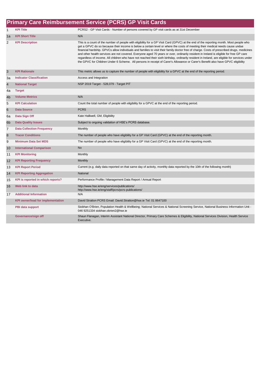|                |                                          | <b>Primary Care Reimbursement Service (PCRS) GP Visit Cards</b>                                                                                                                                                                                                                                                                                                                                                                                                                                                                                                                                                                                                                                                                                                                                                                                    |
|----------------|------------------------------------------|----------------------------------------------------------------------------------------------------------------------------------------------------------------------------------------------------------------------------------------------------------------------------------------------------------------------------------------------------------------------------------------------------------------------------------------------------------------------------------------------------------------------------------------------------------------------------------------------------------------------------------------------------------------------------------------------------------------------------------------------------------------------------------------------------------------------------------------------------|
| $\mathbf{1}$   | <b>KPI Title</b>                         | PCRS2 - GP Visit Cards - Number of persons covered by GP visit cards as at 31st December                                                                                                                                                                                                                                                                                                                                                                                                                                                                                                                                                                                                                                                                                                                                                           |
| 1a             | <b>KPI Short Title</b>                   | N/A                                                                                                                                                                                                                                                                                                                                                                                                                                                                                                                                                                                                                                                                                                                                                                                                                                                |
| $\overline{2}$ | <b>KPI Description</b>                   | This is a count of the number of people with eligibility for a GP Visit Card (GPVC) at the end of the reporting month. Most people who<br>get a GPVC do so because their income is below a certain level or where the costs of meeting their medical needs cause undue<br>financial hardship. GPVCs allow individuals and families to visit their family doctor free of charge. Costs of prescribed drugs, medicines<br>and other health services are not covered. Everyone aged 70 years or over, ordinarily resident in Ireland is eligible for free GP care<br>regardless of income. All children who have not reached their sixth birthday, ordinarily resident in Ireland, are eligible for services under<br>the GPVC for Children Under 6 Scheme. All persons in receipt of Carer's Allowance or Carer's Benefit also have GPVC eligibility |
| 3              | <b>KPI Rationale</b>                     | This metric allows us to capture the number of people with eligibility for a GPVC at the end of the reporting period.                                                                                                                                                                                                                                                                                                                                                                                                                                                                                                                                                                                                                                                                                                                              |
| За             | <b>Indicator Classification</b>          | Access and Integration                                                                                                                                                                                                                                                                                                                                                                                                                                                                                                                                                                                                                                                                                                                                                                                                                             |
| $\overline{4}$ | <b>National Target</b>                   | NSP 2019 Target - 528,079 - Target PIT                                                                                                                                                                                                                                                                                                                                                                                                                                                                                                                                                                                                                                                                                                                                                                                                             |
| 4a             | <b>Target</b>                            |                                                                                                                                                                                                                                                                                                                                                                                                                                                                                                                                                                                                                                                                                                                                                                                                                                                    |
| 4 <sub>b</sub> | <b>Volume Metrics</b>                    | N/A                                                                                                                                                                                                                                                                                                                                                                                                                                                                                                                                                                                                                                                                                                                                                                                                                                                |
| 5              | <b>KPI Calculation</b>                   | Count the total number of people with eligibility for a GPVC at the end of the reporting period.                                                                                                                                                                                                                                                                                                                                                                                                                                                                                                                                                                                                                                                                                                                                                   |
| 6              | <b>Data Source</b>                       | <b>PCRS</b>                                                                                                                                                                                                                                                                                                                                                                                                                                                                                                                                                                                                                                                                                                                                                                                                                                        |
| 6a             | Data Sign Off                            | Kate Halliwell, GM, Eligibility                                                                                                                                                                                                                                                                                                                                                                                                                                                                                                                                                                                                                                                                                                                                                                                                                    |
| 6 <sub>b</sub> | <b>Data Quality Issues</b>               | Subject to ongoing validation of HSE's PCRS database.                                                                                                                                                                                                                                                                                                                                                                                                                                                                                                                                                                                                                                                                                                                                                                                              |
| $\overline{7}$ | <b>Data Collection Frequency</b>         | Monthly                                                                                                                                                                                                                                                                                                                                                                                                                                                                                                                                                                                                                                                                                                                                                                                                                                            |
| 8              | <b>Tracer Conditions</b>                 | The number of people who have eligibility for a GP Visit Card (GPVC) at the end of the reporting month.                                                                                                                                                                                                                                                                                                                                                                                                                                                                                                                                                                                                                                                                                                                                            |
| 9              | <b>Minimum Data Set MDS</b>              | The number of people who have eligibility for a GP Visit Card (GPVC) at the end of the reporting month.                                                                                                                                                                                                                                                                                                                                                                                                                                                                                                                                                                                                                                                                                                                                            |
| 10             | <b>International Comparison</b>          | <b>No</b>                                                                                                                                                                                                                                                                                                                                                                                                                                                                                                                                                                                                                                                                                                                                                                                                                                          |
| 11             | <b>KPI Monitoring</b>                    | Monthly                                                                                                                                                                                                                                                                                                                                                                                                                                                                                                                                                                                                                                                                                                                                                                                                                                            |
| 12             | <b>KPI Reporting Frequency</b>           | Monthly                                                                                                                                                                                                                                                                                                                                                                                                                                                                                                                                                                                                                                                                                                                                                                                                                                            |
| 13             | <b>KPI Report Period</b>                 | Current (e.g. daily data reported on that same day of activity, monthly data reported by the 10th of the following month)                                                                                                                                                                                                                                                                                                                                                                                                                                                                                                                                                                                                                                                                                                                          |
| 14             | <b>KPI Reporting Aggregation</b>         | National                                                                                                                                                                                                                                                                                                                                                                                                                                                                                                                                                                                                                                                                                                                                                                                                                                           |
| 15             | KPI is reported in which reports?        | Performance Profile / Management Data Report / Annual Report                                                                                                                                                                                                                                                                                                                                                                                                                                                                                                                                                                                                                                                                                                                                                                                       |
| 16             | Web link to data                         | http://www.hse.ie/eng/services/publications/<br>http://www.hse.ie/eng/staff/pcrs/pcrs-publications/                                                                                                                                                                                                                                                                                                                                                                                                                                                                                                                                                                                                                                                                                                                                                |
| 17             | <b>Additional Information</b>            | N/A                                                                                                                                                                                                                                                                                                                                                                                                                                                                                                                                                                                                                                                                                                                                                                                                                                                |
|                | <b>KPI owner/lead for implementation</b> | David Stratton PCRS Email: David Stratton@hse.ie Tel: 01 8647100                                                                                                                                                                                                                                                                                                                                                                                                                                                                                                                                                                                                                                                                                                                                                                                   |
|                | <b>PBI data support</b>                  | Siobhan O'Brien, Population Health & Wellbeing; National Services & National Screening Service, National Business Information Unit -<br>046 9251334 siobhan.obrien2@hse.ie                                                                                                                                                                                                                                                                                                                                                                                                                                                                                                                                                                                                                                                                         |
|                | Governance/sign off                      | Shaun Flanagan, Interim Assistant National Director, Primary Care Schemes & Eligibility, National Services Division, Health Service<br>Executive.                                                                                                                                                                                                                                                                                                                                                                                                                                                                                                                                                                                                                                                                                                  |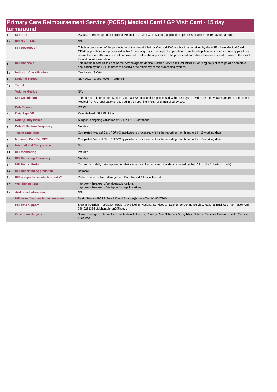|                | Primary Care Reimbursement Service (PCRS) Medical Card / GP Visit Card - 15 day |                                                                                                                                                                                                                                                                                                                                                                                                                                                      |  |  |  |
|----------------|---------------------------------------------------------------------------------|------------------------------------------------------------------------------------------------------------------------------------------------------------------------------------------------------------------------------------------------------------------------------------------------------------------------------------------------------------------------------------------------------------------------------------------------------|--|--|--|
|                | turnaround                                                                      |                                                                                                                                                                                                                                                                                                                                                                                                                                                      |  |  |  |
| $\mathbf{1}$   | <b>KPI Title</b>                                                                | PCRS3 - Percentage of completed Medical / GP Visit Card (GPVC) applications processed within the 15 day turnaround                                                                                                                                                                                                                                                                                                                                   |  |  |  |
| 1a             | <b>KPI Short Title</b>                                                          | N/A                                                                                                                                                                                                                                                                                                                                                                                                                                                  |  |  |  |
| $\overline{2}$ | <b>KPI Description</b>                                                          | This is a calculation of the percentage of the overall Medical Card / GPVC applications received by the HSE where Medical Card /<br>GPVC applications are processed within 15 working days of receipt of application. Completed applications refer to those applications<br>where there is sufficient information provided to allow the application to be processed and where there is no need to write to the client<br>for additional information. |  |  |  |
| 3              | <b>KPI Rationale</b>                                                            | This metric allows us to capture the percentage of Medical Cards / GPVCs issued within 15 working days of receipt of a complete<br>application by the HSE in order to ascertain the efficiency of the processing system.                                                                                                                                                                                                                             |  |  |  |
| 3a             | <b>Indicator Classification</b>                                                 | Quality and Safety                                                                                                                                                                                                                                                                                                                                                                                                                                   |  |  |  |
| $\overline{4}$ | <b>National Target</b>                                                          | NSP 2019 Target - 99% - Target PIT                                                                                                                                                                                                                                                                                                                                                                                                                   |  |  |  |
| 4a             | <b>Target</b>                                                                   |                                                                                                                                                                                                                                                                                                                                                                                                                                                      |  |  |  |
| 4 <sub>b</sub> | <b>Volume Metrics</b>                                                           | N/A                                                                                                                                                                                                                                                                                                                                                                                                                                                  |  |  |  |
| 5              | <b>KPI Calculation</b>                                                          | The number of completed Medical Card /GPVC applications processed within 15 days is divided by the overall number of completed<br>Medical / GPVC applications received in the reporting month and multiplied by 100.                                                                                                                                                                                                                                 |  |  |  |
| 6              | <b>Data Source</b>                                                              | <b>PCRS</b>                                                                                                                                                                                                                                                                                                                                                                                                                                          |  |  |  |
| 6a             | Data Sign Off                                                                   | Kate Halliwell, GM, Eligibility                                                                                                                                                                                                                                                                                                                                                                                                                      |  |  |  |
| 6b             | <b>Data Quality Issues</b>                                                      | Subject to ongoing validation of HSE's PCRS database.                                                                                                                                                                                                                                                                                                                                                                                                |  |  |  |
| $\overline{7}$ | <b>Data Collection Frequency</b>                                                | Monthly                                                                                                                                                                                                                                                                                                                                                                                                                                              |  |  |  |
| 8              | <b>Tracer Conditions</b>                                                        | Completed Medical Card / GPVC applications processed within the reporting month and within 15 working days.                                                                                                                                                                                                                                                                                                                                          |  |  |  |
| 9              | <b>Minimum Data Set MDS</b>                                                     | Completed Medical Card / GPVC applications processed within the reporting month and within 15 working days.                                                                                                                                                                                                                                                                                                                                          |  |  |  |
| 10             | <b>International Comparison</b>                                                 | <b>No</b>                                                                                                                                                                                                                                                                                                                                                                                                                                            |  |  |  |
| 11             | <b>KPI Monitoring</b>                                                           | Monthly                                                                                                                                                                                                                                                                                                                                                                                                                                              |  |  |  |
| 12             | <b>KPI Reporting Frequency</b>                                                  | Monthly                                                                                                                                                                                                                                                                                                                                                                                                                                              |  |  |  |
| 13             | <b>KPI Report Period</b>                                                        | Current (e.g. daily data reported on that same day of activity, monthly data reported by the 10th of the following month)                                                                                                                                                                                                                                                                                                                            |  |  |  |
| 14             | <b>KPI Reporting Aggregation</b>                                                | National                                                                                                                                                                                                                                                                                                                                                                                                                                             |  |  |  |
| 15             | KPI is reported in which reports?                                               | Performance Profile / Management Data Report / Annual Report                                                                                                                                                                                                                                                                                                                                                                                         |  |  |  |
| 16             | Web link to data                                                                | http://www.hse.ie/eng/services/publications/<br>http://www.hse.ie/eng/staff/pcrs/pcrs-publications/                                                                                                                                                                                                                                                                                                                                                  |  |  |  |
| 17             | <b>Additional Information</b>                                                   | N/A                                                                                                                                                                                                                                                                                                                                                                                                                                                  |  |  |  |
|                | <b>KPI owner/lead for implementation</b>                                        | David Stratton PCRS Email: David.Stratton@hse.ie Tel: 01 8647100                                                                                                                                                                                                                                                                                                                                                                                     |  |  |  |
|                | PBI data support                                                                | Siobhan O'Brien, Population Health & Wellbeing; National Services & National Screening Service, National Business Information Unit -<br>046 9251334 siobhan.obrien2@hse.ie                                                                                                                                                                                                                                                                           |  |  |  |
|                | Governance/sign off                                                             | Shaun Flanagan, Interim Assistant National Director, Primary Care Schemes & Eligibility, National Services Division, Health Service<br>Executive.                                                                                                                                                                                                                                                                                                    |  |  |  |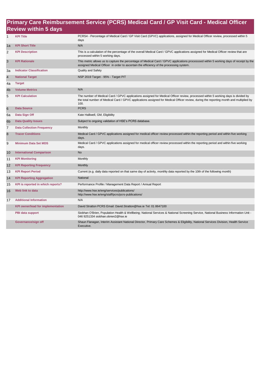#### **Primary Care Reimbursement Service (PCRS) Medical Card / GP Visit Card - Medical Officer Review within 5 days**

| $\mathbf{1}$   | <b>KPI Title</b>                         | PCRS4 - Percentage of Medical Card / GP Visit Card (GPVC) applications, assigned for Medical Officer review, processed within 5<br>days                                                                                                                                             |
|----------------|------------------------------------------|-------------------------------------------------------------------------------------------------------------------------------------------------------------------------------------------------------------------------------------------------------------------------------------|
| 1a             | <b>KPI Short Title</b>                   | N/A                                                                                                                                                                                                                                                                                 |
| 2              | <b>KPI Description</b>                   | This is a calculation of the percentage of the overall Medical Card / GPVC applications assigned for Medical Officer review that are<br>processed within 5 working days.                                                                                                            |
| 3              | <b>KPI Rationale</b>                     | This metric allows us to capture the percentage of Medical Card / GPVC applications processsed within 5 working days of receipt by the<br>assigned Medical Officer in order to ascertain the efficiency of the processing system.                                                   |
| За             | <b>Indicator Classification</b>          | <b>Quality and Safety</b>                                                                                                                                                                                                                                                           |
| $\overline{4}$ | <b>National Target</b>                   | NSP 2019 Target - 95% - Target PIT                                                                                                                                                                                                                                                  |
| 4a             | <b>Target</b>                            |                                                                                                                                                                                                                                                                                     |
| 4 <sub>b</sub> | <b>Volume Metrics</b>                    | N/A                                                                                                                                                                                                                                                                                 |
| 5              | <b>KPI Calculation</b>                   | The number of Medical Card / GPVC applications assigned for Medical Officer review, processed within 5 working days is divided by<br>the total number of Medical Card / GPVC applications assigned for Medical Officer review, during the reporting month and multiplied by<br>100. |
| 6              | <b>Data Source</b>                       | <b>PCRS</b>                                                                                                                                                                                                                                                                         |
| 6a             | Data Sign Off                            | Kate Halliwell, GM, Eligibility                                                                                                                                                                                                                                                     |
| 6 <sub>b</sub> | <b>Data Quality Issues</b>               | Subject to ongoing validation of HSE's PCRS database.                                                                                                                                                                                                                               |
| $\overline{7}$ | <b>Data Collection Frequency</b>         | Monthly                                                                                                                                                                                                                                                                             |
| 8              | <b>Tracer Conditions</b>                 | Medical Card / GPVC applications assigned for medical officer review processed within the reporting period and within five working<br>days.                                                                                                                                         |
| 9              | <b>Minimum Data Set MDS</b>              | Medical Card / GPVC applications assigned for medical officer review processed within the reporting period and within five working<br>days.                                                                                                                                         |
| 10             | <b>International Comparison</b>          | <b>No</b>                                                                                                                                                                                                                                                                           |
| 11             | <b>KPI Monitoring</b>                    | Monthly                                                                                                                                                                                                                                                                             |
| 12             | <b>KPI Reporting Frequency</b>           | Monthly                                                                                                                                                                                                                                                                             |
| 13             | <b>KPI Report Period</b>                 | Current (e.g. daily data reported on that same day of activity, monthly data reported by the 10th of the following month)                                                                                                                                                           |
| 14             | <b>KPI Reporting Aggregation</b>         | National                                                                                                                                                                                                                                                                            |
| 15             | KPI is reported in which reports?        | Performance Profile / Management Data Report / Annual Report                                                                                                                                                                                                                        |
| 16             | Web link to data                         | http://www.hse.ie/eng/services/publications/<br>http://www.hse.ie/eng/staff/pcrs/pcrs-publications/                                                                                                                                                                                 |
| 17             | <b>Additional Information</b>            | N/A                                                                                                                                                                                                                                                                                 |
|                | <b>KPI owner/lead for implementation</b> | David Stratton PCRS Email: David Stratton@hse.ie Tel: 01 8647100                                                                                                                                                                                                                    |
|                | PBI data support                         | Siobhan O'Brien, Population Health & Wellbeing; National Services & National Screening Service, National Business Information Unit -<br>046 9251334 siobhan.obrien2@hse.ie                                                                                                          |
|                | Governance/sign off                      | Shaun Flanagan, Interim Assistant National Director, Primary Care Schemes & Eligibility, National Services Division, Health Service<br>Executive.                                                                                                                                   |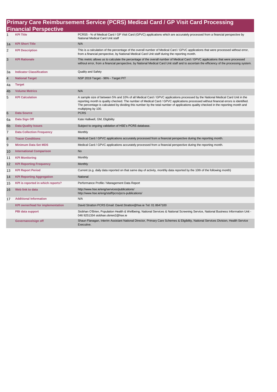## **Primary Care Reimbursement Service (PCRS) Medical Card / GP Visit Card Processing**

|                 | <b>Financial Perspective</b>             |                                                                                                                                                                                                                                                                                                                                                                                                                                      |
|-----------------|------------------------------------------|--------------------------------------------------------------------------------------------------------------------------------------------------------------------------------------------------------------------------------------------------------------------------------------------------------------------------------------------------------------------------------------------------------------------------------------|
| 1               | <b>KPI Title</b>                         | PCRS5 - % of Medical Card / GP Visit Card (GPVC) applications which are accurately processed from a financial perspective by<br>National Medical Card Unit staff                                                                                                                                                                                                                                                                     |
| 1a              | <b>KPI Short Title</b>                   | N/A                                                                                                                                                                                                                                                                                                                                                                                                                                  |
| 2               | <b>KPI Description</b>                   | This is a calculation of the percentage of the overall number of Medical Card / GPVC applications that were processed without error,<br>from a financial perspective, by National Medical Card Unit staff during the reporting month.                                                                                                                                                                                                |
| 3               | <b>KPI Rationale</b>                     | This metric allows us to calculate the percentage of the overall number of Medical Card / GPVC applications that were processed<br>without error, from a financial perspective, by National Medical Card Unit staff and to ascertain the efficiency of the processing system.                                                                                                                                                        |
| За              | <b>Indicator Classification</b>          | <b>Quality and Safety</b>                                                                                                                                                                                                                                                                                                                                                                                                            |
| $\overline{4}$  | <b>National Target</b>                   | NSP 2019 Target - 96% - Target PIT                                                                                                                                                                                                                                                                                                                                                                                                   |
| 4a              | <b>Target</b>                            |                                                                                                                                                                                                                                                                                                                                                                                                                                      |
| 4 <sub>b</sub>  | <b>Volume Metrics</b>                    | N/A                                                                                                                                                                                                                                                                                                                                                                                                                                  |
| 5               | <b>KPI Calculation</b>                   | A sample size of between 5% and 10% of all Medical Card / GPVC applications processed by the National Medical Card Unit in the<br>reporting month is quality checked. The number of Medical Card / GPVC applications processed without financial errors is identified.<br>The percentage is calculated by dividing this number by the total number of applications quality checked in the reporting month and<br>multiplying by 100. |
| $6\phantom{1}6$ | <b>Data Source</b>                       | <b>PCRS</b>                                                                                                                                                                                                                                                                                                                                                                                                                          |
| 6a              | Data Sign Off                            | Kate Halliwell, GM, Eligibility                                                                                                                                                                                                                                                                                                                                                                                                      |
| 6 <sub>b</sub>  | <b>Data Quality Issues</b>               | Subject to ongoing validation of HSE's PCRS database.                                                                                                                                                                                                                                                                                                                                                                                |
| $\overline{7}$  | <b>Data Collection Frequency</b>         | Monthly                                                                                                                                                                                                                                                                                                                                                                                                                              |
| $\bf8$          | <b>Tracer Conditions</b>                 | Medical Card / GPVC applications accurately processed from a financial perspective during the reporting month.                                                                                                                                                                                                                                                                                                                       |
| 9               | <b>Minimum Data Set MDS</b>              | Medical Card / GPVC applications accurately processed from a financial perspective during the reporting month.                                                                                                                                                                                                                                                                                                                       |
| 10              | <b>International Comparison</b>          | <b>No</b>                                                                                                                                                                                                                                                                                                                                                                                                                            |
| 11              | <b>KPI Monitoring</b>                    | Monthly                                                                                                                                                                                                                                                                                                                                                                                                                              |
| 12              | <b>KPI Reporting Frequency</b>           | Monthly                                                                                                                                                                                                                                                                                                                                                                                                                              |
| 13              | <b>KPI Report Period</b>                 | Current (e.g. daily data reported on that same day of activity, monthly data reported by the 10th of the following month)                                                                                                                                                                                                                                                                                                            |
| 14              | <b>KPI Reporting Aggregation</b>         | National                                                                                                                                                                                                                                                                                                                                                                                                                             |
| 15              | KPI is reported in which reports?        | Performance Profile / Management Data Report                                                                                                                                                                                                                                                                                                                                                                                         |
| 16              | Web link to data                         | http://www.hse.ie/eng/services/publications/<br>http://www.hse.ie/eng/staff/pcrs/pcrs-publications/                                                                                                                                                                                                                                                                                                                                  |
| 17              | <b>Additional Information</b>            | N/A                                                                                                                                                                                                                                                                                                                                                                                                                                  |
|                 | <b>KPI owner/lead for implementation</b> | David Stratton PCRS Email: David.Stratton@hse.ie Tel: 01 8647100                                                                                                                                                                                                                                                                                                                                                                     |
|                 | PBI data support                         | Siobhan O'Brien, Population Health & Wellbeing; National Services & National Screening Service, National Business Information Unit -<br>046 9251334 siobhan.obrien2@hse.ie                                                                                                                                                                                                                                                           |
|                 | Governance/sign off                      | Shaun Flanagan, Interim Assistant National Director, Primary Care Schemes & Eligibility, National Services Division, Health Service<br>Executive.                                                                                                                                                                                                                                                                                    |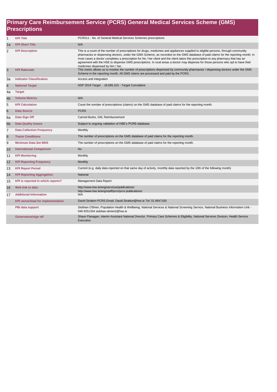#### **Primary Care Reimbursement Service (PCRS) General Medical Services Scheme (GMS) Prescriptions**

| 1               | <b>KPI Title</b>                         | PCRS11 - No. of General Medical Services Schemes prescriptions                                                                                                                                                                                                                                                                                                                                                                                                                                                                                                                              |
|-----------------|------------------------------------------|---------------------------------------------------------------------------------------------------------------------------------------------------------------------------------------------------------------------------------------------------------------------------------------------------------------------------------------------------------------------------------------------------------------------------------------------------------------------------------------------------------------------------------------------------------------------------------------------|
| 1a              | <b>KPI Short Title</b>                   | N/A                                                                                                                                                                                                                                                                                                                                                                                                                                                                                                                                                                                         |
| 2               | <b>KPI Description</b>                   | This is a count of the number of prescriptions for drugs, medicines and appliances supplied to eligible persons, through community<br>pharmacies or dispensing doctors, under the GMS Scheme, as recorded on the GMS database of paid claims for the reporting month. In<br>most cases a doctor completes a prescription for his / her client and the client takes this prescription to any pharmacy that has an<br>agreement with the HSE to dispense GMS prescriptions. In rural areas a doctor may dispense for those persons who opt to have their<br>medicines dispensed by him / her. |
| 3               | <b>KPI Rationale</b>                     | This metric allows us to monitor the number of prescriptions dispensed by community pharmacies / dispensing doctors under the GMS<br>Scheme in the reporting month. All GMS claims are processed and paid by the PCRS.                                                                                                                                                                                                                                                                                                                                                                      |
| За              | <b>Indicator Classification</b>          | Access and Integration                                                                                                                                                                                                                                                                                                                                                                                                                                                                                                                                                                      |
| 4               | <b>National Target</b>                   | NSP 2019 Target - 18,685,315 - Target Cumulative                                                                                                                                                                                                                                                                                                                                                                                                                                                                                                                                            |
| 4a              | <b>Target</b>                            |                                                                                                                                                                                                                                                                                                                                                                                                                                                                                                                                                                                             |
| 4b              | <b>Volume Metrics</b>                    | N/A                                                                                                                                                                                                                                                                                                                                                                                                                                                                                                                                                                                         |
| 5               | <b>KPI Calculation</b>                   | Count the number of prescriptions (claims) on the GMS database of paid claims for the reporting month.                                                                                                                                                                                                                                                                                                                                                                                                                                                                                      |
| $6\phantom{1}6$ | <b>Data Source</b>                       | <b>PCRS</b>                                                                                                                                                                                                                                                                                                                                                                                                                                                                                                                                                                                 |
| 6a              | Data Sign Off                            | Carmel Burke, GM, Reimbursement                                                                                                                                                                                                                                                                                                                                                                                                                                                                                                                                                             |
| 6b              | <b>Data Quality Issues</b>               | Subject to ongoing validation of HSE's PCRS database.                                                                                                                                                                                                                                                                                                                                                                                                                                                                                                                                       |
| $\overline{7}$  | <b>Data Collection Frequency</b>         | Monthly                                                                                                                                                                                                                                                                                                                                                                                                                                                                                                                                                                                     |
| 8               | <b>Tracer Conditions</b>                 | The number of prescriptions on the GMS database of paid claims for the reporting month.                                                                                                                                                                                                                                                                                                                                                                                                                                                                                                     |
| 9               | <b>Minimum Data Set MDS</b>              | The number of prescriptions on the GMS database of paid claims for the reporting month.                                                                                                                                                                                                                                                                                                                                                                                                                                                                                                     |
| 10              | <b>International Comparison</b>          | <b>No</b>                                                                                                                                                                                                                                                                                                                                                                                                                                                                                                                                                                                   |
| 11              | <b>KPI Monitoring</b>                    | Monthly                                                                                                                                                                                                                                                                                                                                                                                                                                                                                                                                                                                     |
| 12              | <b>KPI Reporting Frequency</b>           | Monthly                                                                                                                                                                                                                                                                                                                                                                                                                                                                                                                                                                                     |
| 13              | <b>KPI Report Period</b>                 | Current (e.g. daily data reported on that same day of activity, monthly data reported by the 10th of the following month)                                                                                                                                                                                                                                                                                                                                                                                                                                                                   |
| 14              | <b>KPI Reporting Aggregation</b>         | National                                                                                                                                                                                                                                                                                                                                                                                                                                                                                                                                                                                    |
| 15              | KPI is reported in which reports?        | Management Data Report                                                                                                                                                                                                                                                                                                                                                                                                                                                                                                                                                                      |
| 16              | Web link to data                         | http://www.hse.ie/eng/services/publications/<br>http://www.hse.ie/eng/staff/pcrs/pcrs-publications/                                                                                                                                                                                                                                                                                                                                                                                                                                                                                         |
| 17              | <b>Additional Information</b>            | N/A                                                                                                                                                                                                                                                                                                                                                                                                                                                                                                                                                                                         |
|                 | <b>KPI owner/lead for implementation</b> | David Stratton PCRS Email: David Stratton@hse.ie Tel: 01 8647100                                                                                                                                                                                                                                                                                                                                                                                                                                                                                                                            |
|                 | PBI data support                         | Siobhan O'Brien, Population Health & Wellbeing; National Services & National Screening Service, National Business Information Unit -<br>046 9251334 siobhan.obrien2@hse.ie                                                                                                                                                                                                                                                                                                                                                                                                                  |
|                 | Governance/sign off                      | Shaun Flanagan, Interim Assistant National Director, Primary Care Schemes & Eligibility, National Services Division, Health Service<br>Executive.                                                                                                                                                                                                                                                                                                                                                                                                                                           |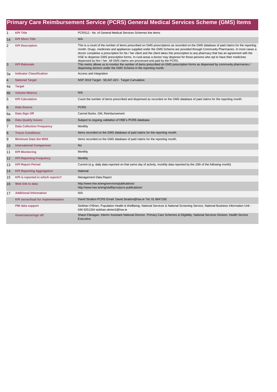|                | Primary Care Reimbursement Service (PCRS) General Medical Services Scheme (GMS) Items |                                                                                                                                                                                                                                                                                                                                                                                                                                                                                                                                                                                                                                          |  |  |
|----------------|---------------------------------------------------------------------------------------|------------------------------------------------------------------------------------------------------------------------------------------------------------------------------------------------------------------------------------------------------------------------------------------------------------------------------------------------------------------------------------------------------------------------------------------------------------------------------------------------------------------------------------------------------------------------------------------------------------------------------------------|--|--|
| $\mathbf{1}$   | <b>KPI Title</b>                                                                      | PCRS12 - No. of General Medical Services Schemes line items                                                                                                                                                                                                                                                                                                                                                                                                                                                                                                                                                                              |  |  |
| 1a             | <b>KPI Short Title</b>                                                                | N/A                                                                                                                                                                                                                                                                                                                                                                                                                                                                                                                                                                                                                                      |  |  |
| 2              | <b>KPI Description</b>                                                                | This is a count of the number of items prescribed on GMS prescriptions as recorded on the GMS database of paid claims for the reporting<br>month. Drugs, medicines and appliances supplied under the GMS Scheme are provided through Community Pharmacies. In most cases a<br>doctor completes a prescription for his / her client and the client takes this prescription to any pharmacy that has an agreement with the<br>HSE to dispense GMS prescription forms. In rural areas a doctor may dispense for those persons who opt to have their medicines<br>dispensed by him / her. All GMS claims are processed and paid by the PCRS. |  |  |
| 3              | <b>KPI Rationale</b>                                                                  | This metric allows us to monitor the number of items prescribed on GMS prescription forms as dispensed by community pharmacies /<br>dispensing doctors under the GMS Scheme in the reporting month.                                                                                                                                                                                                                                                                                                                                                                                                                                      |  |  |
| За             | <b>Indicator Classification</b>                                                       | Access and Integration                                                                                                                                                                                                                                                                                                                                                                                                                                                                                                                                                                                                                   |  |  |
| 4              | <b>National Target</b>                                                                | NSP 2019 Target - 58,347,423 - Target Cumulative                                                                                                                                                                                                                                                                                                                                                                                                                                                                                                                                                                                         |  |  |
| 4a             | <b>Target</b>                                                                         |                                                                                                                                                                                                                                                                                                                                                                                                                                                                                                                                                                                                                                          |  |  |
| 4 <sub>b</sub> | <b>Volume Metrics</b>                                                                 | N/A                                                                                                                                                                                                                                                                                                                                                                                                                                                                                                                                                                                                                                      |  |  |
| 5              | <b>KPI Calculation</b>                                                                | Count the number of items prescribed and dispensed as recorded on the GMS database of paid claims for the reporting month.                                                                                                                                                                                                                                                                                                                                                                                                                                                                                                               |  |  |
| 6              | <b>Data Source</b>                                                                    | <b>PCRS</b>                                                                                                                                                                                                                                                                                                                                                                                                                                                                                                                                                                                                                              |  |  |
| 6a             | Data Sign Off                                                                         | Carmel Burke, GM, Reimbursement                                                                                                                                                                                                                                                                                                                                                                                                                                                                                                                                                                                                          |  |  |
| 6 <sub>b</sub> | <b>Data Quality Issues</b>                                                            | Subject to ongoing validation of HSE's PCRS database.                                                                                                                                                                                                                                                                                                                                                                                                                                                                                                                                                                                    |  |  |
| $\overline{7}$ | <b>Data Collection Frequency</b>                                                      | Monthly                                                                                                                                                                                                                                                                                                                                                                                                                                                                                                                                                                                                                                  |  |  |
| 8              | <b>Tracer Conditions</b>                                                              | Items recorded on the GMS database of paid claims for the reporting month.                                                                                                                                                                                                                                                                                                                                                                                                                                                                                                                                                               |  |  |
| 9              | <b>Minimum Data Set MDS</b>                                                           | Items recorded on the GMS database of paid claims for the reporting month.                                                                                                                                                                                                                                                                                                                                                                                                                                                                                                                                                               |  |  |
| 10             | <b>International Comparison</b>                                                       | <b>No</b>                                                                                                                                                                                                                                                                                                                                                                                                                                                                                                                                                                                                                                |  |  |
| 11             | <b>KPI Monitoring</b>                                                                 | Monthly                                                                                                                                                                                                                                                                                                                                                                                                                                                                                                                                                                                                                                  |  |  |
| 12             | <b>KPI Reporting Frequency</b>                                                        | Monthly                                                                                                                                                                                                                                                                                                                                                                                                                                                                                                                                                                                                                                  |  |  |
| 13             | <b>KPI Report Period</b>                                                              | Current (e.g. daily data reported on that same day of activity, monthly data reported by the 10th of the following month)                                                                                                                                                                                                                                                                                                                                                                                                                                                                                                                |  |  |
| 14             | <b>KPI Reporting Aggregation</b>                                                      | National                                                                                                                                                                                                                                                                                                                                                                                                                                                                                                                                                                                                                                 |  |  |
| 15             | KPI is reported in which reports?                                                     | Management Data Report                                                                                                                                                                                                                                                                                                                                                                                                                                                                                                                                                                                                                   |  |  |
| 16             | Web link to data                                                                      | http://www.hse.ie/eng/services/publications/<br>http://www.hse.ie/eng/staff/pcrs/pcrs-publications/                                                                                                                                                                                                                                                                                                                                                                                                                                                                                                                                      |  |  |
| 17             | <b>Additional Information</b>                                                         | N/A                                                                                                                                                                                                                                                                                                                                                                                                                                                                                                                                                                                                                                      |  |  |
|                | <b>KPI owner/lead for implementation</b>                                              | David Stratton PCRS Email: David.Stratton@hse.ie Tel: 01 8647100                                                                                                                                                                                                                                                                                                                                                                                                                                                                                                                                                                         |  |  |
|                | PBI data support                                                                      | Siobhan O'Brien, Population Health & Wellbeing; National Services & National Screening Service, National Business Information Unit -<br>046 9251334 siobhan.obrien2@hse.ie                                                                                                                                                                                                                                                                                                                                                                                                                                                               |  |  |
|                | Governance/sign off                                                                   | Shaun Flanagan, Interim Assistant National Director, Primary Care Schemes & Eligibility, National Services Division, Health Service<br>Executive.                                                                                                                                                                                                                                                                                                                                                                                                                                                                                        |  |  |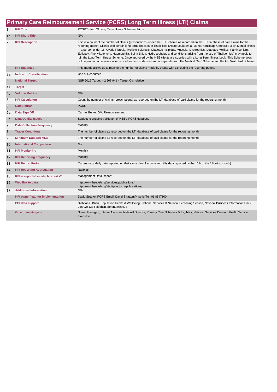|                         | Primary Care Reimbursement Service (PCRS) Long Term Illness (LTI) Claims |                                                                                                                                                                                                                                                                                                                                                                                                                                                                                                                                                                                                                                                                                                                                                                                                                                              |  |  |
|-------------------------|--------------------------------------------------------------------------|----------------------------------------------------------------------------------------------------------------------------------------------------------------------------------------------------------------------------------------------------------------------------------------------------------------------------------------------------------------------------------------------------------------------------------------------------------------------------------------------------------------------------------------------------------------------------------------------------------------------------------------------------------------------------------------------------------------------------------------------------------------------------------------------------------------------------------------------|--|--|
| 1                       | <b>KPI Title</b>                                                         | PCSR7 - No. Of Long Term Illness Scheme claims                                                                                                                                                                                                                                                                                                                                                                                                                                                                                                                                                                                                                                                                                                                                                                                               |  |  |
| 1a                      | <b>KPI Short Title</b>                                                   | N/A                                                                                                                                                                                                                                                                                                                                                                                                                                                                                                                                                                                                                                                                                                                                                                                                                                          |  |  |
| $\overline{2}$          | <b>KPI Description</b>                                                   | This is a count of the number of claims (prescriptions) under the LTI Scheme as recorded on the LTI database of paid claims for the<br>reporting month. Clients with certain long-term illnesses or disabilities (Acute Leukaemia, Mental handicap, Cerebral Palsy, Mental Illness<br>in a person under 16, Cystic Fibrosis, Multiple Sclerosis, Diabetes Insipidus, Muscular Dystrophies, Diabetes Mellitus, Parkinsonism,<br>Epilepsy, Phenylketonuria, Haemophilia, Spina Bifida, Hydrocephalus and conditions arising from the use of Thalidomide) may apply to<br>join the Long Term Illness Scheme. Once approved by the HSE clients are supplied with a Long Term Illness book. This Scheme does<br>not depend on a person's income or other circumstances and is separate from the Medical Card Scheme and the GP Visit Card Scheme. |  |  |
| 3                       | <b>KPI Rationale</b>                                                     | This metric allows us to monitor the number of claims made by clients with LTI during the reporting period.                                                                                                                                                                                                                                                                                                                                                                                                                                                                                                                                                                                                                                                                                                                                  |  |  |
| 3a                      | <b>Indicator Classification</b>                                          | Use of Resources                                                                                                                                                                                                                                                                                                                                                                                                                                                                                                                                                                                                                                                                                                                                                                                                                             |  |  |
| $\overline{\mathbf{4}}$ | <b>National Target</b>                                                   | NSP 2019 Target - 2,506,941 - Target Cumulative                                                                                                                                                                                                                                                                                                                                                                                                                                                                                                                                                                                                                                                                                                                                                                                              |  |  |
| 4a                      | <b>Target</b>                                                            |                                                                                                                                                                                                                                                                                                                                                                                                                                                                                                                                                                                                                                                                                                                                                                                                                                              |  |  |
| 4b                      | <b>Volume Metrics</b>                                                    | N/A                                                                                                                                                                                                                                                                                                                                                                                                                                                                                                                                                                                                                                                                                                                                                                                                                                          |  |  |
| 5                       | <b>KPI Calculation</b>                                                   | Count the number of claims (prescriptions) as recorded on the LTI database of paid claims for the reporting month.                                                                                                                                                                                                                                                                                                                                                                                                                                                                                                                                                                                                                                                                                                                           |  |  |
| $6\phantom{1}6$         | <b>Data Source</b>                                                       | <b>PCRS</b>                                                                                                                                                                                                                                                                                                                                                                                                                                                                                                                                                                                                                                                                                                                                                                                                                                  |  |  |
| 6a                      | Data Sign Off                                                            | Carmel Burke, GM, Reimbursement                                                                                                                                                                                                                                                                                                                                                                                                                                                                                                                                                                                                                                                                                                                                                                                                              |  |  |
| 6 <sub>b</sub>          | <b>Data Quality Issues</b>                                               | Subject to ongoing validation of HSE's PCRS database.                                                                                                                                                                                                                                                                                                                                                                                                                                                                                                                                                                                                                                                                                                                                                                                        |  |  |
| 7                       | <b>Data Collection Frequency</b>                                         | Monthly                                                                                                                                                                                                                                                                                                                                                                                                                                                                                                                                                                                                                                                                                                                                                                                                                                      |  |  |
| $\boldsymbol{8}$        | <b>Tracer Conditions</b>                                                 | The number of claims as recorded on the LTI database of paid claims for the reporting month.                                                                                                                                                                                                                                                                                                                                                                                                                                                                                                                                                                                                                                                                                                                                                 |  |  |
| 9                       | <b>Minimum Data Set MDS</b>                                              | The number of claims as recorded on the LTI database of paid claims for the reporting month.                                                                                                                                                                                                                                                                                                                                                                                                                                                                                                                                                                                                                                                                                                                                                 |  |  |
| 10                      | <b>International Comparison</b>                                          | <b>No</b>                                                                                                                                                                                                                                                                                                                                                                                                                                                                                                                                                                                                                                                                                                                                                                                                                                    |  |  |
| 11                      | <b>KPI Monitoring</b>                                                    | Monthly                                                                                                                                                                                                                                                                                                                                                                                                                                                                                                                                                                                                                                                                                                                                                                                                                                      |  |  |
| 12                      | <b>KPI Reporting Frequency</b>                                           | Monthly                                                                                                                                                                                                                                                                                                                                                                                                                                                                                                                                                                                                                                                                                                                                                                                                                                      |  |  |
| 13                      | <b>KPI Report Period</b>                                                 | Current (e.g. daily data reported on that same day of activity, monthly data reported by the 10th of the following month)                                                                                                                                                                                                                                                                                                                                                                                                                                                                                                                                                                                                                                                                                                                    |  |  |
| 14                      | <b>KPI Reporting Aggregation</b>                                         | National                                                                                                                                                                                                                                                                                                                                                                                                                                                                                                                                                                                                                                                                                                                                                                                                                                     |  |  |
| 15                      | KPI is reported in which reports?                                        | Management Data Report                                                                                                                                                                                                                                                                                                                                                                                                                                                                                                                                                                                                                                                                                                                                                                                                                       |  |  |
| 16                      | Web link to data                                                         | http://www.hse.ie/eng/services/publications/<br>http://www.hse.ie/eng/staff/pcrs/pcrs-publications/                                                                                                                                                                                                                                                                                                                                                                                                                                                                                                                                                                                                                                                                                                                                          |  |  |
| 17                      | <b>Additional Information</b>                                            | N/A                                                                                                                                                                                                                                                                                                                                                                                                                                                                                                                                                                                                                                                                                                                                                                                                                                          |  |  |
|                         | <b>KPI owner/lead for implementation</b>                                 | David Stratton PCRS Email: David.Stratton@hse.ie Tel: 01 8647100                                                                                                                                                                                                                                                                                                                                                                                                                                                                                                                                                                                                                                                                                                                                                                             |  |  |
|                         | PBI data support                                                         | Siobhan O'Brien, Population Health & Wellbeing; National Services & National Screening Service, National Business Information Unit -<br>046 9251334 siobhan.obrien2@hse.ie                                                                                                                                                                                                                                                                                                                                                                                                                                                                                                                                                                                                                                                                   |  |  |
|                         | Governance/sign off                                                      | Shaun Flanagan, Interim Assistant National Director, Primary Care Schemes & Eligibility, National Services Division, Health Service<br>Executive.                                                                                                                                                                                                                                                                                                                                                                                                                                                                                                                                                                                                                                                                                            |  |  |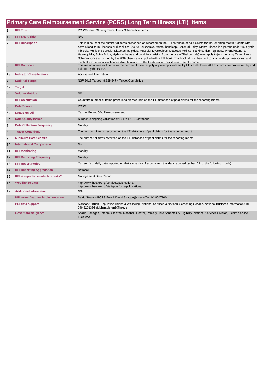|                | Primary Care Reimbursement Service (PCRS) Long Term Illness (LTI) Items |                                                                                                                                                                                                                                                                                                                                                                                                                                                                                                                                                                                                                                                                                                                                                                                                                   |  |
|----------------|-------------------------------------------------------------------------|-------------------------------------------------------------------------------------------------------------------------------------------------------------------------------------------------------------------------------------------------------------------------------------------------------------------------------------------------------------------------------------------------------------------------------------------------------------------------------------------------------------------------------------------------------------------------------------------------------------------------------------------------------------------------------------------------------------------------------------------------------------------------------------------------------------------|--|
| $\mathbf{1}$   | <b>KPI Title</b>                                                        | PCRS8 - No. Of Long Term Illness Scheme line items                                                                                                                                                                                                                                                                                                                                                                                                                                                                                                                                                                                                                                                                                                                                                                |  |
| 1a             | <b>KPI Short Title</b>                                                  | N/A                                                                                                                                                                                                                                                                                                                                                                                                                                                                                                                                                                                                                                                                                                                                                                                                               |  |
| 2              | <b>KPI Description</b>                                                  | This is a count of the number of items prescribed as recorded on the LTI database of paid claims for the reporting month. Clients with<br>certain long-term illnesses or disabilities (Acute Leukaemia, Mental handicap, Cerebral Palsy, Mental Illness in a person under 16, Cystic<br>Fibrosis, Multiple Sclerosis, Diabetes Insipidus, Muscular Dystrophies, Diabetes Mellitus, Parkinsonism, Epilepsy, Phenylketonuria,<br>Haemophilia, Spina Bifida, Hydrocephalus and conditions arising from the use of Thalidomide) may apply to join the Long Term Illness<br>Scheme. Once approved by the HSE clients are supplied with a LTI book. This book allows the client to avail of drugs, medicines, and<br>medical and surgical appliances directly related to the treatment of their illness, free of charge |  |
| 3              | <b>KPI Rationale</b>                                                    | This metric allows us to monitor the demand for and supply of prescription items by LTI cardholders. All LTI claims are processed by and<br>paid for by the PCRS.                                                                                                                                                                                                                                                                                                                                                                                                                                                                                                                                                                                                                                                 |  |
| За             | <b>Indicator Classification</b>                                         | Access and Integration                                                                                                                                                                                                                                                                                                                                                                                                                                                                                                                                                                                                                                                                                                                                                                                            |  |
| 4              | <b>National Target</b>                                                  | NSP 2019 Target - 8,829,947 - Target Cumulative                                                                                                                                                                                                                                                                                                                                                                                                                                                                                                                                                                                                                                                                                                                                                                   |  |
| 4a             | <b>Target</b>                                                           |                                                                                                                                                                                                                                                                                                                                                                                                                                                                                                                                                                                                                                                                                                                                                                                                                   |  |
| 4 <sub>b</sub> | <b>Volume Metrics</b>                                                   | N/A                                                                                                                                                                                                                                                                                                                                                                                                                                                                                                                                                                                                                                                                                                                                                                                                               |  |
| 5              | <b>KPI Calculation</b>                                                  | Count the number of items prescribed as recorded on the LTI database of paid claims for the reporting month.                                                                                                                                                                                                                                                                                                                                                                                                                                                                                                                                                                                                                                                                                                      |  |
| 6              | <b>Data Source</b>                                                      | <b>PCRS</b>                                                                                                                                                                                                                                                                                                                                                                                                                                                                                                                                                                                                                                                                                                                                                                                                       |  |
| 6a             | Data Sign Off                                                           | Carmel Burke, GM, Reimbursement                                                                                                                                                                                                                                                                                                                                                                                                                                                                                                                                                                                                                                                                                                                                                                                   |  |
| 6 <sub>b</sub> | <b>Data Quality Issues</b>                                              | Subject to ongoing validation of HSE's PCRS database.                                                                                                                                                                                                                                                                                                                                                                                                                                                                                                                                                                                                                                                                                                                                                             |  |
| $\overline{7}$ | <b>Data Collection Frequency</b>                                        | Monthly                                                                                                                                                                                                                                                                                                                                                                                                                                                                                                                                                                                                                                                                                                                                                                                                           |  |
| 8              | <b>Tracer Conditions</b>                                                | The number of items recorded on the LTI database of paid claims for the reporting month.                                                                                                                                                                                                                                                                                                                                                                                                                                                                                                                                                                                                                                                                                                                          |  |
| 9              | <b>Minimum Data Set MDS</b>                                             | The number of items recorded on the LTI database of paid claims for the reporting month.                                                                                                                                                                                                                                                                                                                                                                                                                                                                                                                                                                                                                                                                                                                          |  |
| 10             | <b>International Comparison</b>                                         | <b>No</b>                                                                                                                                                                                                                                                                                                                                                                                                                                                                                                                                                                                                                                                                                                                                                                                                         |  |
| 11             | <b>KPI Monitoring</b>                                                   | Monthly                                                                                                                                                                                                                                                                                                                                                                                                                                                                                                                                                                                                                                                                                                                                                                                                           |  |
| 12             | <b>KPI Reporting Frequency</b>                                          | Monthly                                                                                                                                                                                                                                                                                                                                                                                                                                                                                                                                                                                                                                                                                                                                                                                                           |  |
| 13             | <b>KPI Report Period</b>                                                | Current (e.g. daily data reported on that same day of activity, monthly data reported by the 10th of the following month)                                                                                                                                                                                                                                                                                                                                                                                                                                                                                                                                                                                                                                                                                         |  |
| 14             | <b>KPI Reporting Aggregation</b>                                        | National                                                                                                                                                                                                                                                                                                                                                                                                                                                                                                                                                                                                                                                                                                                                                                                                          |  |
| 15             | KPI is reported in which reports?                                       | Management Data Report                                                                                                                                                                                                                                                                                                                                                                                                                                                                                                                                                                                                                                                                                                                                                                                            |  |
| 16             | Web link to data                                                        | http://www.hse.ie/eng/services/publications/<br>http://www.hse.ie/eng/staff/pcrs/pcrs-publications/                                                                                                                                                                                                                                                                                                                                                                                                                                                                                                                                                                                                                                                                                                               |  |
| 17             | <b>Additional Information</b>                                           | N/A                                                                                                                                                                                                                                                                                                                                                                                                                                                                                                                                                                                                                                                                                                                                                                                                               |  |
|                | <b>KPI owner/lead for implementation</b>                                | David Stratton PCRS Email: David Stratton@hse.ie Tel: 01 8647100                                                                                                                                                                                                                                                                                                                                                                                                                                                                                                                                                                                                                                                                                                                                                  |  |
|                | <b>PBI data support</b>                                                 | Siobhan O'Brien, Population Health & Wellbeing; National Services & National Screening Service, National Business Information Unit -<br>046 9251334 siobhan.obrien2@hse.ie                                                                                                                                                                                                                                                                                                                                                                                                                                                                                                                                                                                                                                        |  |
|                | Governance/sign off                                                     | Shaun Flanagan, Interim Assistant National Director, Primary Care Schemes & Eligibility, National Services Division, Health Service<br>Executive.                                                                                                                                                                                                                                                                                                                                                                                                                                                                                                                                                                                                                                                                 |  |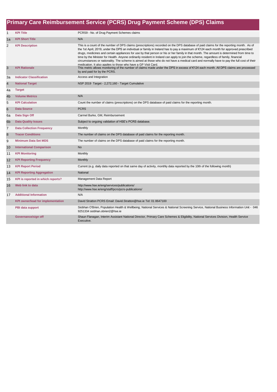|                 | Primary Care Reimbursement Service (PCRS) Drug Payment Scheme (DPS) Claims |                                                                                                                                                                                                                                                                                                                                                                                                                                                                                                                                                                                                                                                                                                                                                                                    |  |
|-----------------|----------------------------------------------------------------------------|------------------------------------------------------------------------------------------------------------------------------------------------------------------------------------------------------------------------------------------------------------------------------------------------------------------------------------------------------------------------------------------------------------------------------------------------------------------------------------------------------------------------------------------------------------------------------------------------------------------------------------------------------------------------------------------------------------------------------------------------------------------------------------|--|
| $\mathbf{1}$    | <b>KPI Title</b>                                                           | PCRS9 - No. of Drug Payment Schemes claims                                                                                                                                                                                                                                                                                                                                                                                                                                                                                                                                                                                                                                                                                                                                         |  |
| 1a              | <b>KPI Short Title</b>                                                     | N/A                                                                                                                                                                                                                                                                                                                                                                                                                                                                                                                                                                                                                                                                                                                                                                                |  |
| 2               | <b>KPI Description</b>                                                     | This is a count of the number of DPS claims (prescriptions) recorded on the DPS database of paid claims for the reporting month. As of<br>the 1st April, 2019, under the DPS an individual or family in Ireland has to pay a maximum of €124 each month for approved prescribed<br>drugs, medicines and certain appliances for use by that person or his or her family in that month. The amount is determined from time to<br>time by the Minister for Health. Anyone ordinarily resident in Ireland can apply to join the scheme, regardless of family, financial<br>circumstances or nationality. The scheme is aimed at those who do not have a medical card and normally have to pay the full cost of their<br>medication. It also applies to those who have a GP Visit Card. |  |
| 3               | <b>KPI Rationale</b>                                                       | This metric allows monitoring of the number of claims made under the DPS in excess of €124 each month. All DPS claims are processed<br>by and paid for by the PCRS.                                                                                                                                                                                                                                                                                                                                                                                                                                                                                                                                                                                                                |  |
| 3a              | <b>Indicator Classification</b>                                            | Access and Integration                                                                                                                                                                                                                                                                                                                                                                                                                                                                                                                                                                                                                                                                                                                                                             |  |
| $\overline{4}$  | <b>National Target</b>                                                     | NSP 2019 Target - 2,272,160 - Target Cumulative                                                                                                                                                                                                                                                                                                                                                                                                                                                                                                                                                                                                                                                                                                                                    |  |
| 4a              | <b>Target</b>                                                              |                                                                                                                                                                                                                                                                                                                                                                                                                                                                                                                                                                                                                                                                                                                                                                                    |  |
| 4 <sub>b</sub>  | <b>Volume Metrics</b>                                                      | N/A                                                                                                                                                                                                                                                                                                                                                                                                                                                                                                                                                                                                                                                                                                                                                                                |  |
| 5               | <b>KPI Calculation</b>                                                     | Count the number of claims (prescriptions) on the DPS database of paid claims for the reporting month.                                                                                                                                                                                                                                                                                                                                                                                                                                                                                                                                                                                                                                                                             |  |
| $6\phantom{1}6$ | <b>Data Source</b>                                                         | <b>PCRS</b>                                                                                                                                                                                                                                                                                                                                                                                                                                                                                                                                                                                                                                                                                                                                                                        |  |
| 6a              | Data Sign Off                                                              | Carmel Burke, GM, Reimbursement                                                                                                                                                                                                                                                                                                                                                                                                                                                                                                                                                                                                                                                                                                                                                    |  |
| 6 <sub>b</sub>  | <b>Data Quality Issues</b>                                                 | Subject to ongoing validation of HSE's PCRS database.                                                                                                                                                                                                                                                                                                                                                                                                                                                                                                                                                                                                                                                                                                                              |  |
| $\overline{7}$  | <b>Data Collection Frequency</b>                                           | Monthly                                                                                                                                                                                                                                                                                                                                                                                                                                                                                                                                                                                                                                                                                                                                                                            |  |
| $\bf8$          | <b>Tracer Conditions</b>                                                   | The number of claims on the DPS database of paid claims for the reporting month.                                                                                                                                                                                                                                                                                                                                                                                                                                                                                                                                                                                                                                                                                                   |  |
| 9               | <b>Minimum Data Set MDS</b>                                                | The number of claims on the DPS database of paid claims for the reporting month.                                                                                                                                                                                                                                                                                                                                                                                                                                                                                                                                                                                                                                                                                                   |  |
| 10              | <b>International Comparison</b>                                            | <b>No</b>                                                                                                                                                                                                                                                                                                                                                                                                                                                                                                                                                                                                                                                                                                                                                                          |  |
| 11              | <b>KPI Monitoring</b>                                                      | Monthly                                                                                                                                                                                                                                                                                                                                                                                                                                                                                                                                                                                                                                                                                                                                                                            |  |
| 12              | <b>KPI Reporting Frequency</b>                                             | <b>Monthly</b>                                                                                                                                                                                                                                                                                                                                                                                                                                                                                                                                                                                                                                                                                                                                                                     |  |
| 13              | <b>KPI Report Period</b>                                                   | Current (e.g. daily data reported on that same day of activity, monthly data reported by the 10th of the following month)                                                                                                                                                                                                                                                                                                                                                                                                                                                                                                                                                                                                                                                          |  |
| 14              | <b>KPI Reporting Aggregation</b>                                           | National                                                                                                                                                                                                                                                                                                                                                                                                                                                                                                                                                                                                                                                                                                                                                                           |  |
| 15              | KPI is reported in which reports?                                          | Management Data Report                                                                                                                                                                                                                                                                                                                                                                                                                                                                                                                                                                                                                                                                                                                                                             |  |
| 16              | Web link to data                                                           | http://www.hse.ie/eng/services/publications/<br>http://www.hse.ie/eng/staff/pcrs/pcrs-publications/                                                                                                                                                                                                                                                                                                                                                                                                                                                                                                                                                                                                                                                                                |  |
| 17              | <b>Additional Information</b>                                              | N/A                                                                                                                                                                                                                                                                                                                                                                                                                                                                                                                                                                                                                                                                                                                                                                                |  |
|                 | <b>KPI owner/lead for implementation</b>                                   | David Stratton PCRS Email: David.Stratton@hse.ie Tel: 01 8647100                                                                                                                                                                                                                                                                                                                                                                                                                                                                                                                                                                                                                                                                                                                   |  |
|                 | PBI data support                                                           | Siobhan O'Brien, Population Health & Wellbeing; National Services & National Screening Service, National Business Information Unit - 046<br>9251334 siobhan.obrien2@hse.ie                                                                                                                                                                                                                                                                                                                                                                                                                                                                                                                                                                                                         |  |
|                 | Governance/sign off                                                        | Shaun Flanagan, Interim Assistant National Director, Primary Care Schemes & Eligibility, National Services Division, Health Service<br>Executive.                                                                                                                                                                                                                                                                                                                                                                                                                                                                                                                                                                                                                                  |  |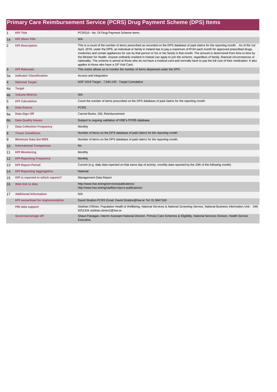|                 | Primary Care Reimbursement Service (PCRS) Drug Payment Scheme (DPS) Items |                                                                                                                                                                                                                                                                                                                                                                                                                                                                                                                                                                                                                                                                                                                                                                              |  |
|-----------------|---------------------------------------------------------------------------|------------------------------------------------------------------------------------------------------------------------------------------------------------------------------------------------------------------------------------------------------------------------------------------------------------------------------------------------------------------------------------------------------------------------------------------------------------------------------------------------------------------------------------------------------------------------------------------------------------------------------------------------------------------------------------------------------------------------------------------------------------------------------|--|
| $\mathbf{1}$    | <b>KPI Title</b>                                                          | PCRS10 - No. Of Drug Payment Scheme items                                                                                                                                                                                                                                                                                                                                                                                                                                                                                                                                                                                                                                                                                                                                    |  |
| 1a              | <b>KPI Short Title</b>                                                    | N/A                                                                                                                                                                                                                                                                                                                                                                                                                                                                                                                                                                                                                                                                                                                                                                          |  |
| $\overline{2}$  | <b>KPI Description</b>                                                    | This is a count of the number of items prescribed as recorded on the DPS database of paid claims for the reporting month. As of the 1st<br>April, 2019, under the DPS, an individual or family in Ireland has to pay a maximum of €124 each month for approved prescribed drugs,<br>medicines and certain appliances for use by that person or his or her family in that month. The amount is determined from time to time by<br>the Minister for Health. Anyone ordinarily resident in Ireland can apply to join the scheme, regardless of family, financial circumstances or<br>nationality. The scheme is aimed at those who do not have a medical card and normally have to pay the full cost of their medication. It also<br>applies to those who have a GP Visit Card. |  |
| 3               | <b>KPI Rationale</b>                                                      | This metric allows us to monitor the number of items dispensed under the DPS.                                                                                                                                                                                                                                                                                                                                                                                                                                                                                                                                                                                                                                                                                                |  |
| 3a              | <b>Indicator Classification</b>                                           | Access and Integration                                                                                                                                                                                                                                                                                                                                                                                                                                                                                                                                                                                                                                                                                                                                                       |  |
| $\overline{4}$  | <b>National Target</b>                                                    | NSP 2019 Target - 7,544,139 - Target Cumulative                                                                                                                                                                                                                                                                                                                                                                                                                                                                                                                                                                                                                                                                                                                              |  |
| 4a              | <b>Target</b>                                                             |                                                                                                                                                                                                                                                                                                                                                                                                                                                                                                                                                                                                                                                                                                                                                                              |  |
| 4 <sub>b</sub>  | <b>Volume Metrics</b>                                                     | N/A                                                                                                                                                                                                                                                                                                                                                                                                                                                                                                                                                                                                                                                                                                                                                                          |  |
| 5               | <b>KPI Calculation</b>                                                    | Count the number of items prescribed on the DPS database of paid claims for the reporting month.                                                                                                                                                                                                                                                                                                                                                                                                                                                                                                                                                                                                                                                                             |  |
| $6\phantom{1}6$ | <b>Data Source</b>                                                        | <b>PCRS</b>                                                                                                                                                                                                                                                                                                                                                                                                                                                                                                                                                                                                                                                                                                                                                                  |  |
| 6a              | Data Sign Off                                                             | Carmel Burke, GM, Reimbursement                                                                                                                                                                                                                                                                                                                                                                                                                                                                                                                                                                                                                                                                                                                                              |  |
| 6 <sub>b</sub>  | <b>Data Quality Issues</b>                                                | Subject to ongoing validation of HSE's PCRS database.                                                                                                                                                                                                                                                                                                                                                                                                                                                                                                                                                                                                                                                                                                                        |  |
| $\overline{7}$  | <b>Data Collection Frequency</b>                                          | Monthly                                                                                                                                                                                                                                                                                                                                                                                                                                                                                                                                                                                                                                                                                                                                                                      |  |
| $\bf8$          | <b>Tracer Conditions</b>                                                  | Number of items on the DPS database of paid claims for the reporting month.                                                                                                                                                                                                                                                                                                                                                                                                                                                                                                                                                                                                                                                                                                  |  |
| 9               | <b>Minimum Data Set MDS</b>                                               | Number of items on the DPS database of paid claims for the reporting month.                                                                                                                                                                                                                                                                                                                                                                                                                                                                                                                                                                                                                                                                                                  |  |
| 10              | <b>International Comparison</b>                                           | <b>No</b>                                                                                                                                                                                                                                                                                                                                                                                                                                                                                                                                                                                                                                                                                                                                                                    |  |
| 11              | <b>KPI Monitoring</b>                                                     | Monthly                                                                                                                                                                                                                                                                                                                                                                                                                                                                                                                                                                                                                                                                                                                                                                      |  |
| 12              | <b>KPI Reporting Frequency</b>                                            | Monthly                                                                                                                                                                                                                                                                                                                                                                                                                                                                                                                                                                                                                                                                                                                                                                      |  |
| 13              | <b>KPI Report Period</b>                                                  | Current (e.g. daily data reported on that same day of activity, monthly data reported by the 10th of the following month)                                                                                                                                                                                                                                                                                                                                                                                                                                                                                                                                                                                                                                                    |  |
| 14              | <b>KPI Reporting Aggregation</b>                                          | National                                                                                                                                                                                                                                                                                                                                                                                                                                                                                                                                                                                                                                                                                                                                                                     |  |
| 15              | KPI is reported in which reports?                                         | Management Data Report                                                                                                                                                                                                                                                                                                                                                                                                                                                                                                                                                                                                                                                                                                                                                       |  |
| 16              | Web link to data                                                          | http://www.hse.ie/eng/services/publications/<br>http://www.hse.ie/eng/staff/pcrs/pcrs-publications/                                                                                                                                                                                                                                                                                                                                                                                                                                                                                                                                                                                                                                                                          |  |
| 17              | <b>Additional Information</b>                                             | N/A                                                                                                                                                                                                                                                                                                                                                                                                                                                                                                                                                                                                                                                                                                                                                                          |  |
|                 | <b>KPI owner/lead for implementation</b>                                  | David Stratton PCRS Email: David Stratton@hse.ie Tel: 01 8647100                                                                                                                                                                                                                                                                                                                                                                                                                                                                                                                                                                                                                                                                                                             |  |
|                 | PBI data support                                                          | Siobhan O'Brien, Population Health & Wellbeing; National Services & National Screening Service, National Business Information Unit - 046<br>9251334 siobhan.obrien2@hse.ie                                                                                                                                                                                                                                                                                                                                                                                                                                                                                                                                                                                                   |  |
|                 | Governance/sign off                                                       | Shaun Flanagan, Interim Assistant National Director, Primary Care Schemes & Eligibility, National Services Division, Health Service<br>Executive.                                                                                                                                                                                                                                                                                                                                                                                                                                                                                                                                                                                                                            |  |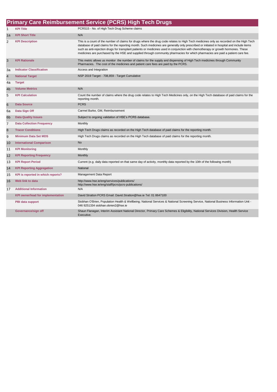|                | <b>Primary Care Reimbursement Service (PCRS) High Tech Drugs</b> |                                                                                                                                                                                                                                                                                                                                                                                                                                                                                                                                                           |  |  |
|----------------|------------------------------------------------------------------|-----------------------------------------------------------------------------------------------------------------------------------------------------------------------------------------------------------------------------------------------------------------------------------------------------------------------------------------------------------------------------------------------------------------------------------------------------------------------------------------------------------------------------------------------------------|--|--|
| 1              | <b>KPI Title</b>                                                 | PCRS15 - No. of High Tech Drug Scheme claims                                                                                                                                                                                                                                                                                                                                                                                                                                                                                                              |  |  |
| 1a             | <b>KPI Short Title</b>                                           | N/A                                                                                                                                                                                                                                                                                                                                                                                                                                                                                                                                                       |  |  |
| $\overline{2}$ | <b>KPI Description</b>                                           | This is a count of the number of claims for drugs where the drug code relates to High Tech medicines only as recorded on the High Tech<br>database of paid claims for the reporting month. Such medicines are generally only prescribed or initiated in hospital and include items<br>such as anti-rejection drugs for transplant patients or medicines used in conjunction with chemotherapy or growth hormones. These<br>medicines are purchased by the HSE and supplied through community pharmacies for which pharmacies are paid a patient care fee. |  |  |
| 3              | <b>KPI Rationale</b>                                             | This metric allows us monitor the number of claims for the supply and dispensing of High Tech medicines through Community<br>Pharmacies. The cost of the medicines and patient care fees are paid by the PCRS.                                                                                                                                                                                                                                                                                                                                            |  |  |
| За             | <b>Indicator Classification</b>                                  | Access and Integration                                                                                                                                                                                                                                                                                                                                                                                                                                                                                                                                    |  |  |
| 4              | <b>National Target</b>                                           | NSP 2019 Target - 708,859 - Target Cumulative                                                                                                                                                                                                                                                                                                                                                                                                                                                                                                             |  |  |
| 4a             | <b>Target</b>                                                    |                                                                                                                                                                                                                                                                                                                                                                                                                                                                                                                                                           |  |  |
| 4 <sub>b</sub> | <b>Volume Metrics</b>                                            | N/A                                                                                                                                                                                                                                                                                                                                                                                                                                                                                                                                                       |  |  |
| 5              | <b>KPI Calculation</b>                                           | Count the number of claims where the drug code relates to High Tech Medicines only, on the High Tech database of paid claims for the<br>reporting month.                                                                                                                                                                                                                                                                                                                                                                                                  |  |  |
| 6              | <b>Data Source</b>                                               | <b>PCRS</b>                                                                                                                                                                                                                                                                                                                                                                                                                                                                                                                                               |  |  |
| 6a             | Data Sign Off                                                    | Carmel Burke, GM, Reimbursement                                                                                                                                                                                                                                                                                                                                                                                                                                                                                                                           |  |  |
| 6 <sub>b</sub> | <b>Data Quality Issues</b>                                       | Subject to ongoing validation of HSE's PCRS database.                                                                                                                                                                                                                                                                                                                                                                                                                                                                                                     |  |  |
| $\overline{7}$ | <b>Data Collection Frequency</b>                                 | Monthly                                                                                                                                                                                                                                                                                                                                                                                                                                                                                                                                                   |  |  |
| 8              | <b>Tracer Conditions</b>                                         | High Tech Drugs claims as recorded on the High Tech database of paid claims for the reporting month.                                                                                                                                                                                                                                                                                                                                                                                                                                                      |  |  |
| 9              | <b>Minimum Data Set MDS</b>                                      | High Tech Drugs claims as recorded on the High Tech database of paid claims for the reporting month.                                                                                                                                                                                                                                                                                                                                                                                                                                                      |  |  |
| 10             | <b>International Comparison</b>                                  | <b>No</b>                                                                                                                                                                                                                                                                                                                                                                                                                                                                                                                                                 |  |  |
| 11             | <b>KPI Monitoring</b>                                            | Monthly                                                                                                                                                                                                                                                                                                                                                                                                                                                                                                                                                   |  |  |
| 12             | <b>KPI Reporting Frequency</b>                                   | Monthly                                                                                                                                                                                                                                                                                                                                                                                                                                                                                                                                                   |  |  |
| 13             | <b>KPI Report Period</b>                                         | Current (e.g. daily data reported on that same day of activity, monthly data reported by the 10th of the following month)                                                                                                                                                                                                                                                                                                                                                                                                                                 |  |  |
| 14             | <b>KPI Reporting Aggregation</b>                                 | National                                                                                                                                                                                                                                                                                                                                                                                                                                                                                                                                                  |  |  |
| 15             | KPI is reported in which reports?                                | Management Data Report                                                                                                                                                                                                                                                                                                                                                                                                                                                                                                                                    |  |  |
| 16             | Web link to data                                                 | http://www.hse.ie/eng/services/publications/<br>http://www.hse.ie/eng/staff/pcrs/pcrs-publications/                                                                                                                                                                                                                                                                                                                                                                                                                                                       |  |  |
| 17             | <b>Additional Information</b>                                    | N/A                                                                                                                                                                                                                                                                                                                                                                                                                                                                                                                                                       |  |  |
|                | <b>KPI owner/lead for implementation</b>                         | David Stratton PCRS Email: David.Stratton@hse.ie Tel: 01 8647100                                                                                                                                                                                                                                                                                                                                                                                                                                                                                          |  |  |
|                | PBI data support                                                 | Siobhan O'Brien, Population Health & Wellbeing; National Services & National Screening Service, National Business Information Unit -<br>046 9251334 siobhan.obrien2@hse.ie                                                                                                                                                                                                                                                                                                                                                                                |  |  |
|                | Governance/sign off                                              | Shaun Flanagan, Interim Assistant National Director, Primary Care Schemes & Eligibility, National Services Division, Health Service<br>Executive.                                                                                                                                                                                                                                                                                                                                                                                                         |  |  |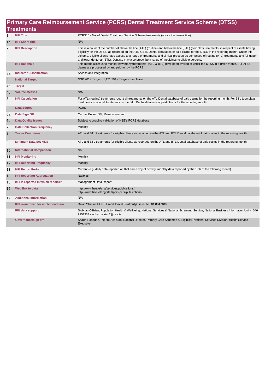|                         | Primary Care Reimbursement Service (PCRS) Dental Treatment Service Scheme (DTSS)<br><b>Treatments</b> |                                                                                                                                                                                                                                                                                                                                                                                                                                                                                                                                        |  |  |
|-------------------------|-------------------------------------------------------------------------------------------------------|----------------------------------------------------------------------------------------------------------------------------------------------------------------------------------------------------------------------------------------------------------------------------------------------------------------------------------------------------------------------------------------------------------------------------------------------------------------------------------------------------------------------------------------|--|--|
|                         |                                                                                                       |                                                                                                                                                                                                                                                                                                                                                                                                                                                                                                                                        |  |  |
| $\mathbf{1}$            | <b>KPI Title</b>                                                                                      | PCRS16 - No. of Dental Treatment Service Scheme treatments (above the line/routine)                                                                                                                                                                                                                                                                                                                                                                                                                                                    |  |  |
| 1a                      | <b>KPI Short Title</b>                                                                                | N/A                                                                                                                                                                                                                                                                                                                                                                                                                                                                                                                                    |  |  |
| $\overline{\mathbf{c}}$ | <b>KPI Description</b>                                                                                | This is a count of the number of above the line (ATL) (routine) and below the line (BTL) (complex) treatments, in respect of clients having<br>eligibility for the DTSS, as recorded on the ATL & BTL Dental databases of paid claims for the DTSS in the reporting month. Under this<br>scheme, eligible clients have access to a range of treatments and clinical procedures comprised of routine (ATL) treatments and full upper<br>and lower dentures (BTL). Dentists may also prescribe a range of medicines to eligible persons. |  |  |
| 3                       | <b>KPI Rationale</b>                                                                                  | This metric allow us to monitor how many treatments (ATL & BTL) have been availed of under the DTSS in a given month. All DTSS<br>claims are processed by and paid for by the PCRS.                                                                                                                                                                                                                                                                                                                                                    |  |  |
| За                      | <b>Indicator Classification</b>                                                                       | Access and Integration                                                                                                                                                                                                                                                                                                                                                                                                                                                                                                                 |  |  |
| 4                       | <b>National Target</b>                                                                                | NSP 2019 Target - 1,121,394 - Target Cumulative                                                                                                                                                                                                                                                                                                                                                                                                                                                                                        |  |  |
| 4a                      | <b>Target</b>                                                                                         |                                                                                                                                                                                                                                                                                                                                                                                                                                                                                                                                        |  |  |
| 4b                      | <b>Volume Metrics</b>                                                                                 | N/A                                                                                                                                                                                                                                                                                                                                                                                                                                                                                                                                    |  |  |
| 5                       | <b>KPI Calculation</b>                                                                                | For ATL (routine) treatments -count all treatments on the ATL Dental database of paid claims for the reporting month, For BTL (complex)<br>treatments - count all treatments on the BTL Dental database of paid claims for the reporting month.                                                                                                                                                                                                                                                                                        |  |  |
| $6\phantom{1}6$         | <b>Data Source</b>                                                                                    | <b>PCRS</b>                                                                                                                                                                                                                                                                                                                                                                                                                                                                                                                            |  |  |
| 6a                      | Data Sign Off                                                                                         | Carmel Burke, GM, Reimbursement                                                                                                                                                                                                                                                                                                                                                                                                                                                                                                        |  |  |
| 6 <sub>b</sub>          | <b>Data Quality Issues</b>                                                                            | Subject to ongoing validation of HSE's PCRS database.                                                                                                                                                                                                                                                                                                                                                                                                                                                                                  |  |  |
| $\overline{7}$          | <b>Data Collection Frequency</b>                                                                      | Monthly                                                                                                                                                                                                                                                                                                                                                                                                                                                                                                                                |  |  |
| 8                       | <b>Tracer Conditions</b>                                                                              | ATL and BTL treatments for eligible clients as recorded on the ATL and BTL Dental database of paid claims in the reporting month.                                                                                                                                                                                                                                                                                                                                                                                                      |  |  |
| 9                       | <b>Minimum Data Set MDS</b>                                                                           | ATL and BTL treatments for eligible clients as recorded on the ATL and BTL Dental database of paid claims in the reporting month.                                                                                                                                                                                                                                                                                                                                                                                                      |  |  |
| 10                      | <b>International Comparison</b>                                                                       | <b>No</b>                                                                                                                                                                                                                                                                                                                                                                                                                                                                                                                              |  |  |
| 11                      | <b>KPI Monitoring</b>                                                                                 | Monthly                                                                                                                                                                                                                                                                                                                                                                                                                                                                                                                                |  |  |
| 12                      | <b>KPI Reporting Frequency</b>                                                                        | Monthly                                                                                                                                                                                                                                                                                                                                                                                                                                                                                                                                |  |  |
| 13                      | <b>KPI Report Period</b>                                                                              | Current (e.g. daily data reported on that same day of activity, monthly data reported by the 10th of the following month)                                                                                                                                                                                                                                                                                                                                                                                                              |  |  |
| 14                      | <b>KPI Reporting Aggregation</b>                                                                      | National                                                                                                                                                                                                                                                                                                                                                                                                                                                                                                                               |  |  |
| 15                      | KPI is reported in which reports?                                                                     | Management Data Report                                                                                                                                                                                                                                                                                                                                                                                                                                                                                                                 |  |  |
| 16                      | Web link to data                                                                                      | http://www.hse.ie/eng/services/publications/<br>http://www.hse.ie/eng/staff/pcrs/pcrs-publications/                                                                                                                                                                                                                                                                                                                                                                                                                                    |  |  |
| 17                      | <b>Additional Information</b>                                                                         | N/A                                                                                                                                                                                                                                                                                                                                                                                                                                                                                                                                    |  |  |
|                         | <b>KPI owner/lead for implementation</b>                                                              | David Stratton PCRS Email: David Stratton@hse.ie Tel: 01 8647100                                                                                                                                                                                                                                                                                                                                                                                                                                                                       |  |  |
|                         | PBI data support                                                                                      | Siobhan O'Brien, Population Health & Wellbeing; National Services & National Screening Service, National Business Information Unit - 046<br>9251334 siobhan.obrien2@hse.ie                                                                                                                                                                                                                                                                                                                                                             |  |  |
|                         | Governance/sign off                                                                                   | Shaun Flanagan, Interim Assistant National Director, Primary Care Schemes & Eligibility, National Services Division, Health Service<br>Executive.                                                                                                                                                                                                                                                                                                                                                                                      |  |  |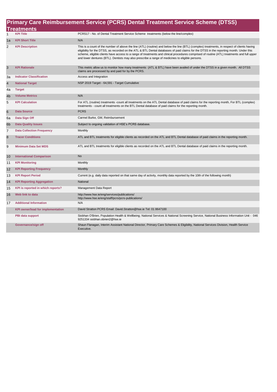|                 | Primary Care Reimbursement Service (PCRS) Dental Treatment Service Scheme (DTSS) |                                                                                                                                                                                                                                                                                                                                                                                                                                                                                                                                        |  |  |
|-----------------|----------------------------------------------------------------------------------|----------------------------------------------------------------------------------------------------------------------------------------------------------------------------------------------------------------------------------------------------------------------------------------------------------------------------------------------------------------------------------------------------------------------------------------------------------------------------------------------------------------------------------------|--|--|
|                 | <b>Treatments</b>                                                                |                                                                                                                                                                                                                                                                                                                                                                                                                                                                                                                                        |  |  |
|                 | <b>KPI Title</b>                                                                 | PCRS17 - No. of Dental Treatment Service Scheme treatments (below the line/complex)                                                                                                                                                                                                                                                                                                                                                                                                                                                    |  |  |
| 1a              | <b>KPI Short Title</b>                                                           | N/A                                                                                                                                                                                                                                                                                                                                                                                                                                                                                                                                    |  |  |
| $\overline{2}$  | <b>KPI Description</b>                                                           | This is a count of the number of above the line (ATL) (routine) and below the line (BTL) (complex) treatments, in respect of clients having<br>eligibility for the DTSS, as recorded on the ATL & BTL Dental databases of paid claims for the DTSS in the reporting month. Under this<br>scheme, eligible clients have access to a range of treatments and clinical procedures comprised of routine (ATL) treatments and full upper<br>and lower dentures (BTL). Dentists may also prescribe a range of medicines to eligible persons. |  |  |
| 3               | <b>KPI Rationale</b>                                                             | This metric allow us to monitor how many treatments (ATL & BTL) have been availed of under the DTSS in a given month. All DTSS<br>claims are processed by and paid for by the PCRS.                                                                                                                                                                                                                                                                                                                                                    |  |  |
| За              | <b>Indicator Classification</b>                                                  | Access and Integration                                                                                                                                                                                                                                                                                                                                                                                                                                                                                                                 |  |  |
| $\overline{4}$  | <b>National Target</b>                                                           | NSP 2019 Target - 64,591 - Target Cumulative                                                                                                                                                                                                                                                                                                                                                                                                                                                                                           |  |  |
| 4a              | <b>Target</b>                                                                    |                                                                                                                                                                                                                                                                                                                                                                                                                                                                                                                                        |  |  |
| 4 <sub>b</sub>  | <b>Volume Metrics</b>                                                            | N/A                                                                                                                                                                                                                                                                                                                                                                                                                                                                                                                                    |  |  |
| 5               | <b>KPI Calculation</b>                                                           | For ATL (routine) treatments -count all treatments on the ATL Dental database of paid claims for the reporting month, For BTL (complex)<br>treatments - count all treatments on the BTL Dental database of paid claims for the reporting month.                                                                                                                                                                                                                                                                                        |  |  |
| $6\phantom{1}6$ | <b>Data Source</b>                                                               | <b>PCRS</b>                                                                                                                                                                                                                                                                                                                                                                                                                                                                                                                            |  |  |
| 6a              | Data Sign Off                                                                    | Carmel Burke, GM, Reimbursement                                                                                                                                                                                                                                                                                                                                                                                                                                                                                                        |  |  |
| 6 <sub>b</sub>  | <b>Data Quality Issues</b>                                                       | Subject to ongoing validation of HSE's PCRS database.                                                                                                                                                                                                                                                                                                                                                                                                                                                                                  |  |  |
| $\overline{7}$  | <b>Data Collection Frequency</b>                                                 | Monthly                                                                                                                                                                                                                                                                                                                                                                                                                                                                                                                                |  |  |
| 8               | <b>Tracer Conditions</b>                                                         | ATL and BTL treatments for eligible clients as recorded on the ATL and BTL Dental database of paid claims in the reporting month.                                                                                                                                                                                                                                                                                                                                                                                                      |  |  |
| 9               | <b>Minimum Data Set MDS</b>                                                      | ATL and BTL treatments for eligible clients as recorded on the ATL and BTL Dental database of paid claims in the reporting month.                                                                                                                                                                                                                                                                                                                                                                                                      |  |  |
| 10              | <b>International Comparison</b>                                                  | <b>No</b>                                                                                                                                                                                                                                                                                                                                                                                                                                                                                                                              |  |  |
| 11              | <b>KPI Monitoring</b>                                                            | Monthly                                                                                                                                                                                                                                                                                                                                                                                                                                                                                                                                |  |  |
| 12              | <b>KPI Reporting Frequency</b>                                                   | <b>Monthly</b>                                                                                                                                                                                                                                                                                                                                                                                                                                                                                                                         |  |  |
| 13              | <b>KPI Report Period</b>                                                         | Current (e.g. daily data reported on that same day of activity, monthly data reported by the 10th of the following month)                                                                                                                                                                                                                                                                                                                                                                                                              |  |  |
| 14              | <b>KPI Reporting Aggregation</b>                                                 | National                                                                                                                                                                                                                                                                                                                                                                                                                                                                                                                               |  |  |
| 15              | KPI is reported in which reports?                                                | Management Data Report                                                                                                                                                                                                                                                                                                                                                                                                                                                                                                                 |  |  |
| 16              | Web link to data                                                                 | http://www.hse.ie/eng/services/publications/<br>http://www.hse.ie/eng/staff/pcrs/pcrs-publications/                                                                                                                                                                                                                                                                                                                                                                                                                                    |  |  |
| 17              | <b>Additional Information</b>                                                    | N/A                                                                                                                                                                                                                                                                                                                                                                                                                                                                                                                                    |  |  |
|                 | <b>KPI owner/lead for implementation</b>                                         | David Stratton PCRS Email: David Stratton@hse.ie Tel: 01 8647100                                                                                                                                                                                                                                                                                                                                                                                                                                                                       |  |  |
|                 | PBI data support                                                                 | Siobhan O'Brien, Population Health & Wellbeing; National Services & National Screening Service, National Business Information Unit - 046<br>9251334 siobhan.obrien2@hse.ie                                                                                                                                                                                                                                                                                                                                                             |  |  |
|                 | Governance/sign off                                                              | Shaun Flanagan, Interim Assistant National Director, Primary Care Schemes & Eligibility, National Services Division, Health Service<br>Executive.                                                                                                                                                                                                                                                                                                                                                                                      |  |  |